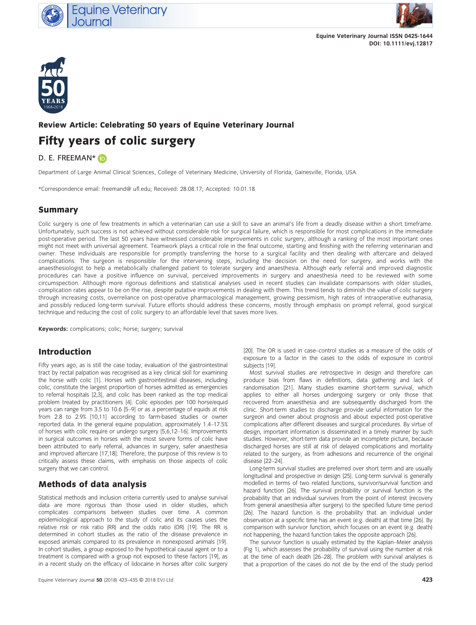



Equine Veterinary Journal ISSN 0425-1644 DOI: 10.1111/evj.12817



#### Review Article: Celebrating 50 years of Equine Veterinary Journal

# Fifty years of colic surgery

#### D. E. FREEMAN\* (D

Department of Large Animal Clinical Sciences, College of Veterinary Medicine, University of Florida, Gainesville, Florida, USA.

\*Correspondence email: freemand@ ufl.edu; Received: 28.08.17; Accepted: 10.01.18

#### Summary

Colic surgery is one of few treatments in which a veterinarian can use a skill to save an animal's life from a deadly disease within a short timeframe. Unfortunately, such success is not achieved without considerable risk for surgical failure, which is responsible for most complications in the immediate post-operative period. The last 50 years have witnessed considerable improvements in colic surgery, although a ranking of the most important ones might not meet with universal agreement. Teamwork plays a critical role in the final outcome, starting and finishing with the referring veterinarian and owner. These individuals are responsible for promptly transferring the horse to a surgical facility and then dealing with aftercare and delayed complications. The surgeon is responsible for the intervening steps, including the decision on the need for surgery, and works with the anaesthesiologist to help a metabolically challenged patient to tolerate surgery and anaesthesia. Although early referral and improved diagnostic procedures can have a positive influence on survival, perceived improvements in surgery and anaesthesia need to be reviewed with some circumspection. Although more rigorous definitions and statistical analyses used in recent studies can invalidate comparisons with older studies, complication rates appear to be on the rise, despite putative improvements in dealing with them. This trend tends to diminish the value of colic surgery through increasing costs, overreliance on post-operative pharmacological management, growing pessimism, high rates of intraoperative euthanasia, and possibly reduced long-term survival. Future efforts should address these concerns, mostly through emphasis on prompt referral, good surgical technique and reducing the cost of colic surgery to an affordable level that saves more lives.

Keywords: complications; colic; horse; surgery; survival

# Introduction

Fifty years ago, as is still the case today, evaluation of the gastrointestinal tract by rectal palpation was recognised as a key clinical skill for examining the horse with colic [1]. Horses with gastrointestinal diseases, including colic, constitute the largest proportion of horses admitted as emergencies to referral hospitals [2,3], and colic has been ranked as the top medical problem treated by practitioners [4]. Colic episodes per 100 horse/equid years can range from 3.5 to 10.6 [5–9] or as a percentage of equids at risk from 2.8 to 2.9% [10,11] according to farm-based studies or owner reported data. In the general equine population, approximately 1.4–17.5% of horses with colic require or undergo surgery [5,6,12–16]. Improvements in surgical outcomes in horses with the most severe forms of colic have been attributed to early referral, advances in surgery, safer anaesthesia and improved aftercare [17,18]. Therefore, the purpose of this review is to critically assess these claims, with emphasis on those aspects of colic surgery that we can control.

# Methods of data analysis

Statistical methods and inclusion criteria currently used to analyse survival data are more rigorous than those used in older studies, which complicates comparisons between studies over time. A common epidemiological approach to the study of colic and its causes uses the relative risk or risk ratio (RR) and the odds ratio (OR) [19]. The RR is determined in cohort studies as the ratio of the disease prevalence in exposed animals compared to its prevalence in nonexposed animals [19]. In cohort studies, a group exposed to the hypothetical causal agent or to a treatment is compared with a group not exposed to these factors [19], as in a recent study on the efficacy of lidocaine in horses after colic surgery

[20]. The OR is used in case–control studies as a measure of the odds of exposure to a factor in the cases to the odds of exposure in control subjects [19].

Most survival studies are retrospective in design and therefore can produce bias from flaws in definitions, data gathering and lack of randomisation [21]. Many studies examine short-term survival, which applies to either all horses undergoing surgery or only those that recovered from anaesthesia and are subsequently discharged from the clinic. Short-term studies to discharge provide useful information for the surgeon and owner about prognosis and about expected post-operative complications after different diseases and surgical procedures. By virtue of design, important information is disseminated in a timely manner by such studies. However, short-term data provide an incomplete picture, because discharged horses are still at risk of delayed complications and mortality related to the surgery, as from adhesions and recurrence of the original disease [22–24].

Long-term survival studies are preferred over short term and are usually longitudinal and prospective in design [25]. Long-term survival is generally modelled in terms of two related functions, survivor/survival function and hazard function [26]. The survival probability or survival function is the probability that an individual survives from the point of interest (recovery from general anaesthesia after surgery) to the specified future time period [26]. The hazard function is the probability that an individual under observation at a specific time has an event (e.g. death) at that time [26]. By comparison with survivor function, which focuses on an event (e.g. death) not happening, the hazard function takes the opposite approach [26].

The survivor function is usually estimated by the Kaplan–Meier analysis (Fig 1), which assesses the probability of survival using the number at risk at the time of each death [26–28]. The problem with survival analyses is that a proportion of the cases do not die by the end of the study period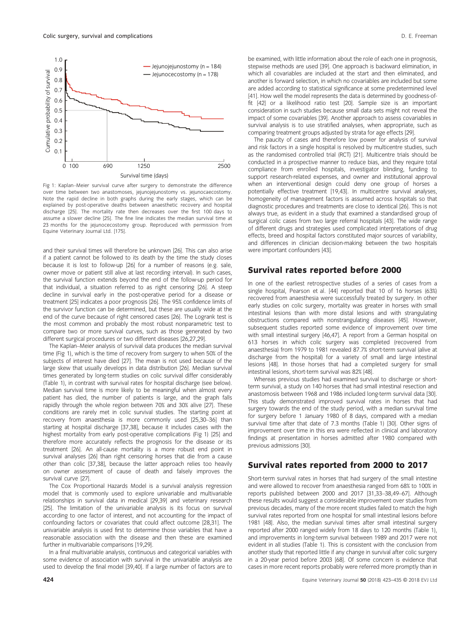

Fig 1: Kaplan–Meier survival curve after surgery to demonstrate the difference over time between two anastomoses, jejunojejunostomy vs. jejunocaecostomy. Note the rapid decline in both graphs during the early stages, which can be explained by post-operative deaths between anaesthetic recovery and hospital discharge [25]. The mortality rate then decreases over the first 100 days to assume a slower decline [25]. The fine line indicates the median survival time at 23 months for the jejunocecostomy group. Reproduced with permission from Equine Veterinary Journal Ltd. [175].

and their survival times will therefore be unknown [26]. This can also arise if a patient cannot be followed to its death by the time the study closes because it is lost to follow-up [26] for a number of reasons (e.g. sale, owner move or patient still alive at last recording interval). In such cases, the survival function extends beyond the end of the follow-up period for that individual, a situation referred to as right censoring [26]. A steep decline in survival early in the post-operative period for a disease or treatment [25] indicates a poor prognosis [26]. The 95% confidence limits of the survivor function can be determined, but these are usually wide at the end of the curve because of right censored cases [26]. The Logrank test is the most common and probably the most robust nonparametric test to compare two or more survival curves, such as those generated by two different surgical procedures or two different diseases [26,27,29].

The Kaplan–Meier analysis of survival data produces the median survival time (Fig 1), which is the time of recovery from surgery to when 50% of the subjects of interest have died [27]. The mean is not used because of the large skew that usually develops in data distribution [26]. Median survival times generated by long-term studies on colic survival differ considerably (Table 1), in contrast with survival rates for hospital discharge (see below). Median survival time is more likely to be meaningful when almost every patient has died, the number of patients is large, and the graph falls rapidly through the whole region between 70% and 30% alive [27]. These conditions are rarely met in colic survival studies. The starting point at recovery from anaesthesia is more commonly used [25,30–36] than starting at hospital discharge [37,38], because it includes cases with the highest mortality from early post-operative complications (Fig 1) [25] and therefore more accurately reflects the prognosis for the disease or its treatment [26]. An all-cause mortality is a more robust end point in survival analyses [26] than right censoring horses that die from a cause other than colic [37,38], because the latter approach relies too heavily on owner assessment of cause of death and falsely improves the survival curve [27].

The Cox Proportional Hazards Model is a survival analysis regression model that is commonly used to explore univariable and multivariable relationships in survival data in medical [29,39] and veterinary research [25]. The limitation of the univariable analysis is its focus on survival according to one factor of interest, and not accounting for the impact of confounding factors or covariates that could affect outcome [28,31]. The univariable analysis is used first to determine those variables that have a reasonable association with the disease and then these are examined further in multivariable comparisons [19,29].

In a final multivariable analysis, continuous and categorical variables with some evidence of association with survival in the univariable analysis are used to develop the final model [39,40]. If a large number of factors are to be examined, with little information about the role of each one in prognosis, stepwise methods are used [39]. One approach is backward elimination, in which all covariables are included at the start and then eliminated, and another is forward selection, in which no covariables are included but some are added according to statistical significance at some predetermined level [41]. How well the model represents the data is determined by goodness-offit [42] or a likelihood ratio test [20]. Sample size is an important consideration in such studies because small data sets might not reveal the impact of some covariables [39]. Another approach to assess covariables in survival analysis is to use stratified analyses, when appropriate, such as comparing treatment groups adjusted by strata for age effects [29].

The paucity of cases and therefore low power for analysis of survival and risk factors in a single hospital is resolved by multicentre studies, such as the randomised controlled trial (RCT) [21]. Multicentre trials should be conducted in a prospective manner to reduce bias, and they require total compliance from enrolled hospitals, investigator blinding, funding to support research-related expenses, and owner and institutional approval when an interventional design could deny one group of horses a potentially effective treatment [19,43]. In multicentre survival analyses, homogeneity of management factors is assumed across hospitals so that diagnostic procedures and treatments are close to identical [26]. This is not always true, as evident in a study that examined a standardised group of surgical colic cases from two large referral hospitals [43]. The wide range of different drugs and strategies used complicated interpretations of drug effects, breed and hospital factors constituted major sources of variability, and differences in clinician decision-making between the two hospitals were important confounders [43].

#### Survival rates reported before 2000

In one of the earliest retrospective studies of a series of cases from a single hospital, Pearson et al. [44] reported that 10 of 16 horses (63%) recovered from anaesthesia were successfully treated by surgery. In other early studies on colic surgery, mortality was greater in horses with small intestinal lesions than with more distal lesions and with strangulating obstructions compared with nonstrangulating diseases [45]. However, subsequent studies reported some evidence of improvement over time with small intestinal surgery [46,47]. A report from a German hospital on 613 horses in which colic surgery was completed (recovered from anaesthesia) from 1979 to 1981 revealed 87.7% short-term survival (alive at discharge from the hospital) for a variety of small and large intestinal lesions [48]. In those horses that had a completed surgery for small intestinal lesions, short-term survival was 82% [48].

Whereas previous studies had examined survival to discharge or shortterm survival, a study on 140 horses that had small intestinal resection and anastomosis between 1968 and 1986 included long-term survival data [30]. This study demonstrated improved survival rates in horses that had surgery towards the end of the study period, with a median survival time for surgery before 1 January 1980 of 8 days, compared with a median survival time after that date of 7.3 months (Table 1) [30]. Other signs of improvement over time in this era were reflected in clinical and laboratory findings at presentation in horses admitted after 1980 compared with previous admissions [30].

#### Survival rates reported from 2000 to 2017

Short-term survival rates in horses that had surgery of the small intestine and were allowed to recover from anaesthesia ranged from 68% to 100% in reports published between 2000 and 2017 [31,33–38,49–67]. Although these results would suggest a considerable improvement over studies from previous decades, many of the more recent studies failed to match the high survival rates reported from one hospital for small intestinal lesions before 1981 [48]. Also, the median survival times after small intestinal surgery reported after 2000 ranged widely from 18 days to 120 months (Table 1), and improvements in long-term survival between 1989 and 2017 were not evident in all studies (Table 1). This is consistent with the conclusion from another study that reported little if any change in survival after colic surgery in a 20-year period before 2003 [68]. Of some concern is evidence that cases in more recent reports probably were referred more promptly than in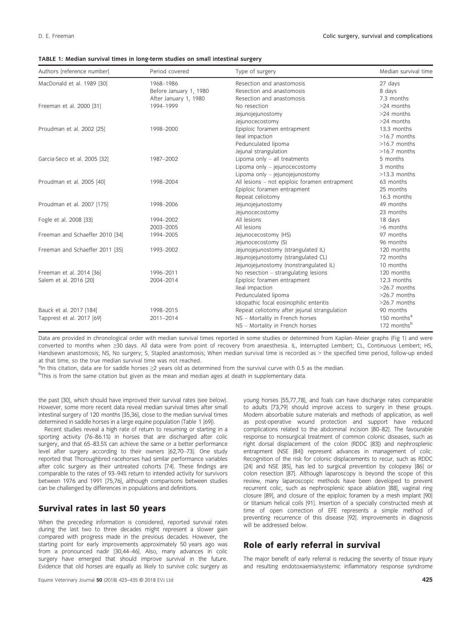| TABLE 1: Median survival times in long-term studies on small intestinal surgery |  |
|---------------------------------------------------------------------------------|--|
|---------------------------------------------------------------------------------|--|

| Authors [reference number]      | Period covered         | Type of surgery                               | Median survival time    |
|---------------------------------|------------------------|-----------------------------------------------|-------------------------|
| MacDonald et al. 1989 [30]      | 1968-1986              | Resection and anastomosis                     | 27 days                 |
|                                 | Before January 1, 1980 | Resection and anastomosis                     | 8 days                  |
|                                 | After January 1, 1980  | Resection and anastomosis                     | 7.3 months              |
| Freeman et al. 2000 [31]        | 1994-1999              | No resection                                  | >24 months              |
|                                 |                        | Jejunojejunostomy                             | >24 months              |
|                                 |                        | Jejunocecostomy                               | >24 months              |
| Proudman et al. 2002 [25]       | 1998-2000              | Epiploic foramen entrapment                   | 13.3 months             |
|                                 |                        | Ileal impaction                               | $>16.7$ months          |
|                                 |                        | Pedunculated lipoma                           | $>16.7$ months          |
|                                 |                        | Jejunal strangulation                         | $>16.7$ months          |
| Garcia-Seco et al. 2005 [32]    | 1987-2002              | Lipoma only - all treatments                  | 5 months                |
|                                 |                        | Lipoma only - jejunocecostomy                 | 3 months                |
|                                 |                        | Lipoma only - jejunojejunostomy               | $>13.3$ months          |
| Proudman et al. 2005 [40]       | 1998-2004              | All lesions - not epiploic foramen entrapment | 63 months               |
|                                 |                        | Epiploic foramen entrapment                   | 25 months               |
|                                 |                        | Repeat celiotomy                              | 16.3 months             |
| Proudman et al. 2007 [175]      | 1998-2006              | Jejunojejunostomy                             | 49 months               |
|                                 |                        | Jejunocecostomy                               | 23 months               |
| Fogle et al. 2008 [33]          | 1994-2002              | All lesions                                   | 18 days                 |
|                                 | 2003-2005              | All lesions                                   | >6 months               |
| Freeman and Schaeffer 2010 [34] | 1994-2005              | Jejunocecostomy (HS)                          | 97 months               |
|                                 |                        | Jejunocecostomy (S)                           | 96 months               |
| Freeman and Schaeffer 2011 [35] | 1993-2002              | Jejunojejunostomy (strangulated IL)           | 120 months              |
|                                 |                        | Jejunojejunostomy (strangulated CL)           | 72 months               |
|                                 |                        | Jejunojejunostomy (nonstrangulated IL)        | 10 months               |
| Freeman et al. 2014 [36]        | 1996-2011              | No resection - strangulating lesions          | 120 months              |
| Salem et al. 2016 [20]          | 2004-2014              | Epiploic foramen entrapment                   | 12.3 months             |
|                                 |                        | Ileal impaction                               | $>26.7$ months          |
|                                 |                        | Pedunculated lipoma                           | $>26.7$ months          |
|                                 |                        | Idiopathic focal eosinophilic enteritis       | >26.7 months            |
| Bauck et al. 2017 [184]         | 1998-2015              | Repeat celiotomy after jejunal strangulation  | 90 months               |
| Tapprest et al. 2017 [69]       | 2011-2014              | NS - Mortality in French horses               | 150 months <sup>a</sup> |
|                                 |                        | NS - Mortality in French horses               | 172 monthsb             |

Data are provided in chronological order with median survival times reported in some studies or determined from Kaplan–Meier graphs (Fig 1) and were converted to months when ≥30 days. All data were from point of recovery from anaesthesia. IL, Interrupted Lembert; CL, Continuous Lembert; HS, Handsewn anastomosis; NS, No surgery; S, Stapled anastomosis; When median survival time is recorded as > the specified time period, follow-up ended at that time, so the true median survival time was not reached.

an this citation, data are for saddle horses ≥2 years old as determined from the survival curve with 0.5 as the median.

<sup>b</sup>This is from the same citation but given as the mean and median ages at death in supplementary data.

the past [30], which should have improved their survival rates (see below). However, some more recent data reveal median survival times after small intestinal surgery of 120 months [35,36], close to the median survival times determined in saddle horses in a large equine population (Table 1 [69]).

Recent studies reveal a high rate of return to resuming or starting in a sporting activity (76–86.1%) in horses that are discharged after colic surgery, and that 65–83.5% can achieve the same or a better performance level after surgery according to their owners [62,70–73]. One study reported that Thoroughbred racehorses had similar performance variables after colic surgery as their untreated cohorts [74]. These findings are comparable to the rates of 93–94% return to intended activity for survivors between 1976 and 1991 [75,76], although comparisons between studies can be challenged by differences in populations and definitions.

#### Survival rates in last 50 years

When the preceding information is considered, reported survival rates during the last two to three decades might represent a slower gain compared with progress made in the previous decades. However, the starting point for early improvements approximately 50 years ago was from a pronounced nadir [30,44–46]. Also, many advances in colic surgery have emerged that should improve survival in the future. Evidence that old horses are equally as likely to survive colic surgery as

young horses [55,77,78], and foals can have discharge rates comparable to adults [73,79] should improve access to surgery in these groups. Modern absorbable suture materials and methods of application, as well as post-operative wound protection and support have reduced complications related to the abdominal incision [80–82]. The favourable response to nonsurgical treatment of common colonic diseases, such as right dorsal displacement of the colon (RDDC [83]) and nephrosplenic entrapment (NSE [84]) represent advances in management of colic. Recognition of the risk for colonic displacements to recur, such as RDDC [24] and NSE [85], has led to surgical prevention by colopexy [86] or colon resection [87]. Although laparoscopy is beyond the scope of this review, many laparoscopic methods have been developed to prevent recurrent colic, such as nephrosplenic space ablation [88], vaginal ring closure [89], and closure of the epiploic foramen by a mesh implant [90] or titanium helical coils [91]. Insertion of a specially constructed mesh at time of open correction of EFE represents a simple method of preventing recurrence of this disease [92]. Improvements in diagnosis will be addressed below.

### Role of early referral in survival

The major benefit of early referral is reducing the severity of tissue injury and resulting endotoxaemia/systemic inflammatory response syndrome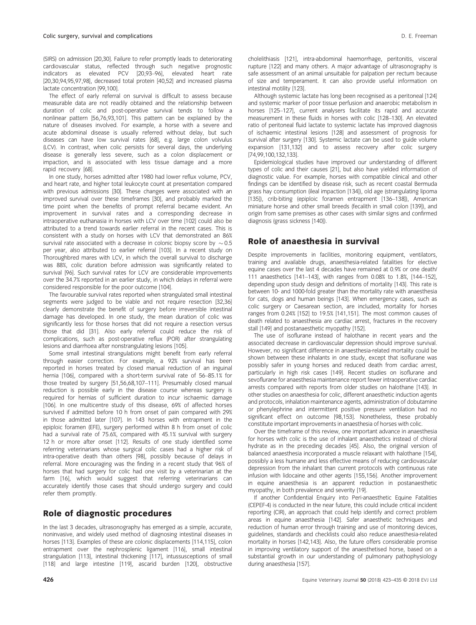(SIRS) on admission [20,30]. Failure to refer promptly leads to deteriorating cardiovascular status, reflected through such negative prognostic indicators as elevated PCV [20,93–96], elevated heart rate [20,30,94,95,97,98], decreased total protein [40,52] and increased plasma lactate concentration [99,100].

The effect of early referral on survival is difficult to assess because measurable data are not readily obtained and the relationship between duration of colic and post-operative survival tends to follow a nonlinear pattern [56,76,93,101]. This pattern can be explained by the nature of diseases involved. For example, a horse with a severe and acute abdominal disease is usually referred without delay, but such diseases can have low survival rates [68], e.g. large colon volvulus (LCV). In contrast, when colic persists for several days, the underlying disease is generally less severe, such as a colon displacement or impaction, and is associated with less tissue damage and a more rapid recovery [68].

In one study, horses admitted after 1980 had lower reflux volume, PCV, and heart rate, and higher total leukocyte count at presentation compared with previous admissions [30]. These changes were associated with an improved survival over these timeframes [30], and probably marked the time point when the benefits of prompt referral became evident. An improvement in survival rates and a corresponding decrease in intraoperative euthanasia in horses with LCV over time [102] could also be attributed to a trend towards earlier referral in the recent cases. This is consistent with a study on horses with LCV that demonstrated an 86% survival rate associated with a decrease in colonic biopsy score by  $\sim$  0.5 per year, also attributed to earlier referral [103]. In a recent study on Thoroughbred mares with LCV, in which the overall survival to discharge was 88%, colic duration before admission was significantly related to survival [96]. Such survival rates for LCV are considerable improvements over the 34.7% reported in an earlier study, in which delays in referral were considered responsible for the poor outcome [104].

The favourable survival rates reported when strangulated small intestinal segments were judged to be viable and not require resection [32,36] clearly demonstrate the benefit of surgery before irreversible intestinal damage has developed. In one study, the mean duration of colic was significantly less for those horses that did not require a resection versus those that did [31]. Also early referral could reduce the risk of complications, such as post-operative reflux (POR) after strangulating lesions and diarrhoea after nonstrangulating lesions [105].

Some small intestinal strangulations might benefit from early referral through easier correction. For example, a 92% survival has been reported in horses treated by closed manual reduction of an inguinal hernia [106], compared with a short-term survival rate of 56–85.1% for those treated by surgery [51,56,68,107–111]. Presumably closed manual reduction is possible early in the disease course whereas surgery is required for hernias of sufficient duration to incur ischaemic damage [106]. In one multicentre study of this disease, 69% of affected horses survived if admitted before 10 h from onset of pain compared with 29% in those admitted later [107]. In 143 horses with entrapment in the epiploic foramen (EFE), surgery performed within 8 h from onset of colic had a survival rate of 75.6%, compared with 45.1% survival with surgery 12 h or more after onset [112]. Results of one study identified some referring veterinarians whose surgical colic cases had a higher risk of intra-operative death than others [98], possibly because of delays in referral. More encouraging was the finding in a recent study that 96% of horses that had surgery for colic had one visit by a veterinarian at the farm [16], which would suggest that referring veterinarians can accurately identify those cases that should undergo surgery and could refer them promptly.

#### Role of diagnostic procedures

In the last 3 decades, ultrasonography has emerged as a simple, accurate, noninvasive, and widely used method of diagnosing intestinal diseases in horses [113]. Examples of these are colonic displacements [114,115], colon entrapment over the nephrosplenic ligament [116], small intestinal strangulation [113], intestinal thickening [117], intussusceptions of small [118] and large intestine [119], ascarid burden [120], obstructive cholelithiasis [121], intra-abdominal haemorrhage, peritonitis, visceral rupture [122] and many others. A major advantage of ultrasonography is safe assessment of an animal unsuitable for palpation per rectum because of size and temperament. It can also provide useful information on intestinal motility [123].

Although systemic lactate has long been recognised as a peritoneal [124] and systemic marker of poor tissue perfusion and anaerobic metabolism in horses [125–127], current analysers facilitate its rapid and accurate measurement in these fluids in horses with colic [128–130]. An elevated ratio of peritoneal fluid lactate to systemic lactate has improved diagnosis of ischaemic intestinal lesions [128] and assessment of prognosis for survival after surgery [130]. Systemic lactate can be used to guide volume expansion [131,132] and to assess recovery after colic surgery [74,99,100,132,133].

Epidemiological studies have improved our understanding of different types of colic and their causes [21], but also have yielded information of diagnostic value. For example, horses with compatible clinical and other findings can be identified by disease risk, such as recent coastal Bermuda grass hay consumption (ileal impaction [134]), old age (strangulating lipoma [135]), crib-biting (epiploic foramen entrapment [136–138]), American miniature horse and other small breeds (fecalith in small colon [139]), and origin from same premises as other cases with similar signs and confirmed diagnosis (grass sickness [140]).

### Role of anaesthesia in survival

Despite improvements in facilities, monitoring equipment, ventilators, training and available drugs, anaesthesia-related fatalities for elective equine cases over the last 4 decades have remained at 0.9% or one death/ 111 anaesthetics [141–143], with ranges from 0.08% to 1.8%, [144–152], depending upon study design and definitions of mortality [143]. This rate is between 10- and 1000-fold greater than the mortality rate with anaesthesia for cats, dogs and human beings [143]. When emergency cases, such as colic surgery or Caesarean section, are included, mortality for horses ranges from 0.24% [152] to 19.5% [141,151]. The most common causes of death related to anaesthesia are cardiac arrest, fractures in the recovery stall [149] and postanaesthetic myopathy [152].

The use of isoflurane instead of halothane in recent years and the associated decrease in cardiovascular depression should improve survival. However, no significant difference in anaesthesia-related mortality could be shown between these inhalants in one study, except that isoflurane was possibly safer in young horses and reduced death from cardiac arrest, particularly in high risk cases [149]. Recent studies on isoflurane and sevoflurane for anaesthesia maintenance report fewer intraoperative cardiac arrests compared with reports from older studies on halothane [143]. In other studies on anaesthesia for colic, different anaesthetic induction agents and protocols, inhalation maintenance agents, administration of dobutamine or phenylephrine and intermittent positive pressure ventilation had no significant effect on outcome [98,153]. Nonetheless, these probably constitute important improvements in anaesthesia of horses with colic.

Over the timeframe of this review, one important advance in anaesthesia for horses with colic is the use of inhalant anaesthetics instead of chloral hydrate as in the preceding decades [45]. Also, the original version of balanced anaesthesia incorporated a muscle relaxant with halothane [154], possibly a less humane and less effective means of reducing cardiovascular depression from the inhalant than current protocols with continuous rate infusion with lidocaine and other agents [155,156]. Another improvement in equine anaesthesia is an apparent reduction in postanaesthetic myopathy, in both prevalence and severity [19].

If another Confidential Enquiry into Peri-anaesthetic Equine Fatalities (CEPEF-4) is conducted in the near future, this could include critical incident reporting (CIR), an approach that could help identify and correct problem areas in equine anaesthesia [142]. Safer anaesthetic techniques and reduction of human error through training and use of monitoring devices, guidelines, standards and checklists could also reduce anaesthesia-related mortality in horses [142,143]. Also, the future offers considerable promise in improving ventilatory support of the anaesthetised horse, based on a substantial growth in our understanding of pulmonary pathophysiology during anaesthesia [157].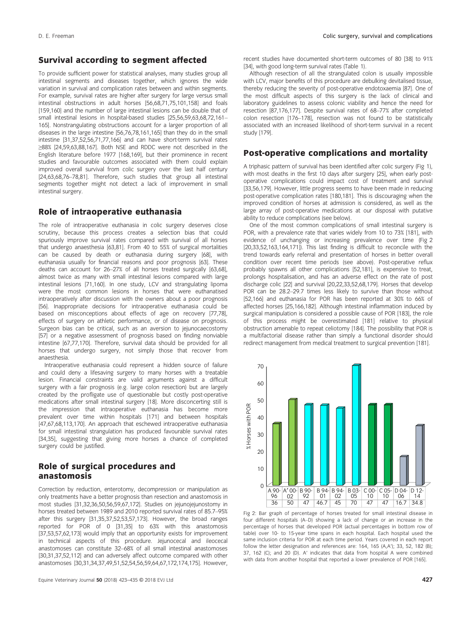### Survival according to segment affected

To provide sufficient power for statistical analyses, many studies group all intestinal segments and diseases together, which ignores the wide variation in survival and complication rates between and within segments. For example, survival rates are higher after surgery for large versus small intestinal obstructions in adult horses [56,68,71,75,101,158] and foals [159,160] and the number of large intestinal lesions can be double that of small intestinal lesions in hospital-based studies [25,56,59,63,68,72,161– 165]. Nonstrangulating obstructions account for a larger proportion of all diseases in the large intestine [56,76,78,161,165] than they do in the small intestine [31,37,52,56,71,77,166] and can have short-term survival rates ≥88% [24,59,63,88,167]. Both NSE and RDDC were not described in the English literature before 1977 [168,169], but their prominence in recent studies and favourable outcomes associated with them could explain improved overall survival from colic surgery over the last half century [24,63,68,76–78,81]. Therefore, such studies that group all intestinal segments together might not detect a lack of improvement in small intestinal surgery.

#### Role of intraoperative euthanasia

The role of intraoperative euthanasia in colic surgery deserves close scrutiny, because this process creates a selection bias that could spuriously improve survival rates compared with survival of all horses that undergo anaesthesia [63,81]. From 40 to 55% of surgical mortalities can be caused by death or euthanasia during surgery [68], with euthanasia usually for financial reasons and poor prognosis [63]. These deaths can account for 26–27% of all horses treated surgically [63,68], almost twice as many with small intestinal lesions compared with large intestinal lesions [71,160]. In one study, LCV and strangulating lipoma were the most common lesions in horses that were euthanatised intraoperatively after discussion with the owners about a poor prognosis [56]. Inappropriate decisions for intraoperative euthanasia could be based on misconceptions about effects of age on recovery [77,78], effects of surgery on athletic performance, or of disease on prognosis. Surgeon bias can be critical, such as an aversion to jejunocaecostomy [57] or a negative assessment of prognosis based on finding nonviable intestine [67,77,170]. Therefore, survival data should be provided for all horses that undergo surgery, not simply those that recover from anaesthesia.

Intraoperative euthanasia could represent a hidden source of failure and could deny a lifesaving surgery to many horses with a treatable lesion. Financial constraints are valid arguments against a difficult surgery with a fair prognosis (e.g. large colon resection) but are largely created by the profligate use of questionable but costly post-operative medications after small intestinal surgery [18]. More disconcerting still is the impression that intraoperative euthanasia has become more prevalent over time within hospitals [171] and between hospitals [47,67,68,113,170]. An approach that eschewed intraoperative euthanasia for small intestinal strangulation has produced favourable survival rates [34,35], suggesting that giving more horses a chance of completed surgery could be justified.

#### Role of surgical procedures and anastomosis

Correction by reduction, enterotomy, decompression or manipulation as only treatments have a better prognosis than resection and anastomosis in most studies [31,32,36,50,56,59,67,172]. Studies on jejunojejunostomy in horses treated between 1989 and 2010 reported survival rates of 85.7–95% after this surgery [31,35,37,52,53,57,173]. However, the broad ranges reported for POR of 0 [31,35] to 63% with this anastomosis [37,53,57,62,173] would imply that an opportunity exists for improvement in technical aspects of this procedure. Jejunocecal and ileocecal anastomoses can constitute 32–68% of all small intestinal anastomoses [30,31,37,52,112] and can adversely affect outcome compared with other anastomoses [30,31,34,37,49,51,52,54,56,59,64,67,172,174,175]. However,

recent studies have documented short-term outcomes of 80 [38] to 91% [34], with good long-term survival rates (Table 1).

Although resection of all the strangulated colon is usually impossible with LCV, major benefits of this procedure are debulking devitalised tissue, thereby reducing the severity of post-operative endotoxaemia [87]. One of the most difficult aspects of this surgery is the lack of clinical and laboratory guidelines to assess colonic viability and hence the need for resection [87,176,177]. Despite survival rates of 68–77% after completed colon resection [176–178], resection was not found to be statistically associated with an increased likelihood of short-term survival in a recent study [179].

#### Post-operative complications and mortality

A triphasic pattern of survival has been identified after colic surgery (Fig 1), with most deaths in the first 10 days after surgery [25], when early postoperative complications could impact cost of treatment and survival [33,56,179]. However, little progress seems to have been made in reducing post-operative complication rates [180,181]. This is discouraging when the improved condition of horses at admission is considered, as well as the large array of post-operative medications at our disposal with putative ability to reduce complications (see below).

One of the most common complications of small intestinal surgery is POR, with a prevalence rate that varies widely from 10 to 73% [181], with evidence of unchanging or increasing prevalence over time (Fig 2 [20,33,52,163,164,171]). This last finding is difficult to reconcile with the trend towards early referral and presentation of horses in better overall condition over recent time periods (see above). Post-operative reflux probably spawns all other complications [52,181], is expensive to treat, prolongs hospitalisation, and has an adverse effect on the rate of post discharge colic [22] and survival [20,22,33,52,68,179]. Horses that develop POR can be 28.2–29.7 times less likely to survive than those without [52,166] and euthanasia for POR has been reported at 30% to 66% of affected horses [25,166,182]. Although intestinal inflammation induced by surgical manipulation is considered a possible cause of POR [183], the role of this process might be overestimated [181] relative to physical obstruction amenable to repeat celiotomy [184]. The possibility that POR is a multifactorial disease rather than simply a functional disorder should redirect management from medical treatment to surgical prevention [181].



Fig 2: Bar graph of percentage of horses treated for small intestinal disease in four different hospitals (A–D) showing a lack of change or an increase in the percentage of horses that developed POR (actual percentages in bottom row of table) over 10- to 15-year time spans in each hospital. Each hospital used the same inclusion criteria for POR at each time period. Years covered in each report follow the letter designation and references are: 164, 165 (A,A'); 33, 52, 182 (B); 37, 162 (C); and 20 (D). A' indicates that data from hospital A were combined with data from another hospital that reported a lower prevalence of POR [165].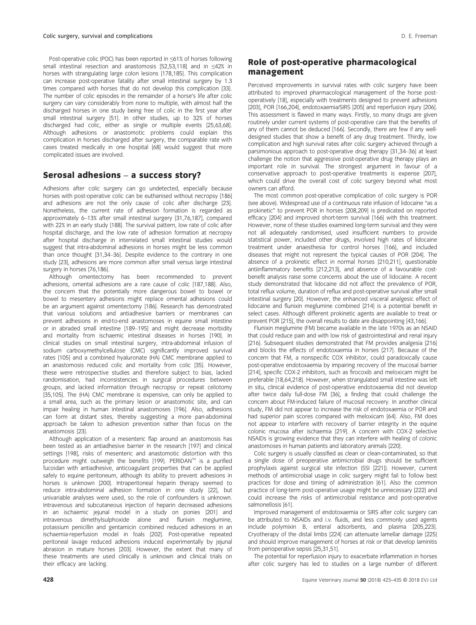Post-operative colic (POC) has been reported in ≤61% of horses following small intestinal resection and anastomosis [52,53,118] and in ≤42% in horses with strangulating large colon lesions [178,185]. This complication can increase post-operative fatality after small intestinal surgery by 1.3 times compared with horses that do not develop this complication [33]. The number of colic episodes in the remainder of a horse's life after colic surgery can vary considerably from none to multiple, with almost half the discharged horses in one study being free of colic in the first year after small intestinal surgery [51]. In other studies, up to 32% of horses discharged had colic, either as single or multiple events [25,63,68]. Although adhesions or anastomotic problems could explain this complication in horses discharged after surgery, the comparable rate with cases treated medically in one hospital [68] would suggest that more complicated issues are involved.

#### Serosal adhesions – a success story?

Adhesions after colic surgery can go undetected, especially because horses with post-operative colic can be euthanised without necropsy [186] and adhesions are not the only cause of colic after discharge [23]. Nonetheless, the current rate of adhesion formation is regarded as approximately 6–13% after small intestinal surgery [31,76,187], compared with 22% in an early study [188]. The survival pattern, low rate of colic after hospital discharge, and the low rate of adhesion formation at necropsy after hospital discharge in interrelated small intestinal studies would suggest that intra-abdominal adhesions in horses might be less common than once thought [31,34–36]. Despite evidence to the contrary in one study [23], adhesions are more common after small versus large intestinal surgery in horses [76,186].

Although omentectomy has been recommended to prevent adhesions, omental adhesions are a rare cause of colic [187,188]. Also, the concern that the potentially more dangerous bowel to bowel or bowel to mesentery adhesions might replace omental adhesions could be an argument against omentectomy [186]. Research has demonstrated that various solutions and antiadhesive barriers or membranes can prevent adhesions in end-to-end anastomoses in equine small intestine or in abraded small intestine [189–195] and might decrease morbidity and mortality from ischaemic intestinal diseases in horses [190]. In clinical studies on small intestinal surgery, intra-abdominal infusion of sodium carboxymethylcellulose (CMC) significantly improved survival rates [105] and a combined hyaluronate (HA) CMC membrane applied to an anastomosis reduced colic and mortality from colic [35]. However, these were retrospective studies and therefore subject to bias, lacked randomisation, had inconsistencies in surgical procedures between groups, and lacked information through necropsy or repeat celiotomy [35,105]. The (HA) CMC membrane is expensive, can only be applied to a small area, such as the primary lesion or anastomotic site, and can impair healing in human intestinal anastomoses [196]. Also, adhesions can form at distant sites, thereby suggesting a more pan-abdominal approach be taken to adhesion prevention rather than focus on the anastomosis [23].

Although application of a mesenteric flap around an anastomosis has been tested as an antiadhesive barrier in the research [197] and clinical settings [198], risks of mesenteric and anastomotic distortion with this procedure might outweigh the benefits [199]. PERIDAN™ is a purified fucoidan with antiadhesive, anticoagulant properties that can be applied safely to equine peritoneum, although its ability to prevent adhesions in horses is unknown [200]. Intraperitoneal heparin therapy seemed to reduce intra-abdominal adhesion formation in one study [22], but univariable analyses were used, so the role of confounders is unknown. Intravenous and subcutaneous injection of heparin decreased adhesions in an ischaemic jejunal model in a study on ponies [201] and intravenous dimethylsulphoxide alone and flunixin meglumine, potassium penicillin and gentamicin combined reduced adhesions in an ischaemia-reperfusion model in foals [202]. Post-operative repeated peritoneal lavage reduced adhesions induced experimentally by jejunal abrasion in mature horses [203]. However, the extent that many of these treatments are used clinically is unknown and clinical trials on their efficacy are lacking.

#### Role of post-operative pharmacological management

Perceived improvements in survival rates with colic surgery have been attributed to improved pharmacological management of the horse postoperatively [18], especially with treatments designed to prevent adhesions [203], POR [166,204], endotoxaemia/SIRS [205] and reperfusion injury [206]. This assessment is flawed in many ways. Firstly, so many drugs are given routinely under current systems of post-operative care that the benefits of any of them cannot be deduced [166]. Secondly, there are few if any welldesigned studies that show a benefit of any drug treatment. Thirdly, low complication and high survival rates after colic surgery achieved through a parsimonious approach to post-operative drug therapy [31,34–36] at least challenge the notion that aggressive post-operative drug therapy plays an important role in survival. The strongest argument in favour of a conservative approach to post-operative treatments is expense [207], which could drive the overall cost of colic surgery beyond what most owners can afford.

The most common post-operative complication of colic surgery is POR (see above). Widespread use of a continuous rate infusion of lidocaine "as a prokinetic" to prevent POR in horses [208,209] is predicated on reported efficacy [204] and improved short-term survival [166] with this treatment. However, none of these studies examined long-term survival and they were not all adequately randomised, used insufficient numbers to provide statistical power, included other drugs, involved high rates of lidocaine treatment under anaesthesia for control horses [166], and included diseases that might not represent the typical causes of POR [204]. The absence of a prokinetic effect in normal horses [210,211], questionable antiinflammatory benefits [212,213], and absence of a favourable costbenefit analysis raise some concerns about the use of lidocaine. A recent study demonstrated that lidocaine did not affect the prevalence of POR, total reflux volume, duration of reflux and post-operative survival after small intestinal surgery [20]. However, the enhanced visceral analgesic effect of lidocaine and flunixin meglumine combined [214] is a potential benefit in select cases. Although different prokinetic agents are available to treat or prevent POR [215], the overall results to date are disappointing [43,166].

Flunixin meglumine (FM) became available in the late 1970s as an NSAID that could reduce pain and with low risk of gastrointestinal and renal injury [216]. Subsequent studies demonstrated that FM provides analgesia [216] and blocks the effects of endotoxaemia in horses [217]. Because of the concern that FM, a nonspecific COX inhibitor, could paradoxically cause post-operative endotoxaemia by impairing recovery of the mucosal barrier [214], specific COX-2 inhibitors, such as firocoxib and meloxicam might be preferable [18,64,218]. However, when strangulated small intestine was left in situ, clinical evidence of post-operative endotoxaemia did not develop after twice daily full-dose FM [36], a finding that could challenge the concern about FM-induced failure of mucosal recovery. In another clinical study, FM did not appear to increase the risk of endotoxaemia or POR and had superior pain scores compared with meloxicam [64]. Also, FM does not appear to interfere with recovery of barrier integrity in the equine colonic mucosa after ischaemia [219]. A concern with COX-2 selective NSAIDs is growing evidence that they can interfere with healing of colonic anastomoses in human patients and laboratory animals [220].

Colic surgery is usually classified as clean or clean-contaminated, so that a single dose of preoperative antimicrobial drugs should be sufficient prophylaxis against surgical site infection (SSI [221]). However, current methods of antimicrobial usage in colic surgery might fail to follow best practices for dose and timing of administration [61]. Also the common practice of long-term post-operative usage might be unnecessary [222] and could increase the risks of antimicrobial resistance and post-operative salmonellosis [61].

Improved management of endotoxaemia or SIRS after colic surgery can be attributed to NSAIDs and i.v. fluids, and less commonly used agents include polymixin B, enteral adsorbents, and plasma [205,223]. Cryotherapy of the distal limbs [224] can attenuate lamellar damage [225] and should improve management of horses at risk or that develop laminitis from perioperative sepsis [25,31,51].

The potential for reperfusion injury to exacerbate inflammation in horses after colic surgery has led to studies on a large number of different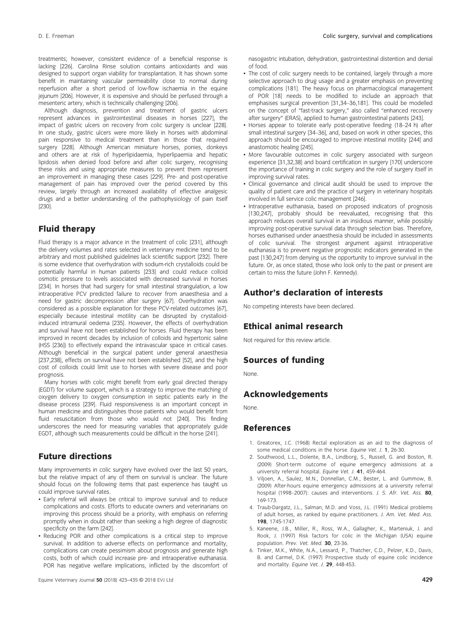treatments; however, consistent evidence of a beneficial response is lacking [226]. Carolina Rinse solution contains antioxidants and was designed to support organ viability for transplantation. It has shown some benefit in maintaining vascular permeability close to normal during reperfusion after a short period of low-flow ischaemia in the equine jejunum [206]. However, it is expensive and should be perfused through a mesenteric artery, which is technically challenging [206].

Although diagnosis, prevention and treatment of gastric ulcers represent advances in gastrointestinal diseases in horses [227], the impact of gastric ulcers on recovery from colic surgery is unclear [228]. In one study, gastric ulcers were more likely in horses with abdominal pain responsive to medical treatment than in those that required surgery [228]. Although American miniature horses, ponies, donkeys and others are at risk of hyperlipidaemia, hyperlipaemia and hepatic lipidosis when denied food before and after colic surgery, recognising these risks and using appropriate measures to prevent them represent an improvement in managing these cases [229]. Pre- and post-operative management of pain has improved over the period covered by this review, largely through an increased availability of effective analgesic drugs and a better understanding of the pathophysiology of pain itself [230].

# Fluid therapy

Fluid therapy is a major advance in the treatment of colic [231], although the delivery volumes and rates selected in veterinary medicine tend to be arbitrary and most published guidelines lack scientific support [232]. There is some evidence that overhydration with sodium-rich crystalloids could be potentially harmful in human patients [233] and could reduce colloid osmotic pressure to levels associated with decreased survival in horses [234]. In horses that had surgery for small intestinal strangulation, a low intraoperative PCV predicted failure to recover from anaesthesia and a need for gastric decompression after surgery [67]. Overhydration was considered as a possible explanation for these PCV-related outcomes [67], especially because intestinal motility can be disrupted by crystalloidinduced intramural oedema [235]. However, the effects of overhydration and survival have not been established for horses. Fluid therapy has been improved in recent decades by inclusion of colloids and hypertonic saline (HSS [236]) to effectively expand the intravascular space in critical cases. Although beneficial in the surgical patient under general anaesthesia [237,238], effects on survival have not been established [52], and the high cost of colloids could limit use to horses with severe disease and poor prognosis.

Many horses with colic might benefit from early goal directed therapy (EGDT) for volume support, which is a strategy to improve the matching of oxygen delivery to oxygen consumption in septic patients early in the disease process [239]. Fluid responsiveness is an important concept in human medicine and distinguishes those patients who would benefit from fluid resuscitation from those who would not [240]. This finding underscores the need for measuring variables that appropriately guide EGDT, although such measurements could be difficult in the horse [241].

### Future directions

Many improvements in colic surgery have evolved over the last 50 years, but the relative impact of any of them on survival is unclear. The future should focus on the following items that past experience has taught us could improve survival rates.

- Early referral will always be critical to improve survival and to reduce complications and costs. Efforts to educate owners and veterinarians on improving this process should be a priority, with emphasis on referring promptly when in doubt rather than seeking a high degree of diagnostic specificity on the farm [242].
- Reducing POR and other complications is a critical step to improve survival. In addition to adverse effects on performance and mortality, complications can create pessimism about prognosis and generate high costs, both of which could increase pre- and intraoperative euthanasia. POR has negative welfare implications, inflicted by the discomfort of

nasogastric intubation, dehydration, gastrointestinal distention and denial of food.

- The cost of colic surgery needs to be contained, largely through a more selective approach to drug usage and a greater emphasis on preventing complications [181]. The heavy focus on pharmacological management of POR [18] needs to be modified to include an approach that emphasises surgical prevention [31,34–36,181]. This could be modelled on the concept of "fast-track surgery," also called "enhanced recovery after surgery" (ERAS), applied to human gastrointestinal patients [243].
- Horses appear to tolerate early post-operative feeding (18–24 h) after small intestinal surgery [34–36], and, based on work in other species, this approach should be encouraged to improve intestinal motility [244] and anastomotic healing [245].
- More favourable outcomes in colic surgery associated with surgeon experience [31,32,38] and board certification in surgery [170] underscore the importance of training in colic surgery and the role of surgery itself in improving survival rates.
- Clinical governance and clinical audit should be used to improve the quality of patient care and the practice of surgery in veterinary hospitals involved in full service colic management [246].
- Intraoperative euthanasia, based on proposed indicators of prognosis [130,247], probably should be reevaluated, recognising that this approach reduces overall survival in an insidious manner, while possibly improving post-operative survival data through selection bias. Therefore, horses euthanised under anaesthesia should be included in assessments of colic survival. The strongest argument against intraoperative euthanasia is to prevent negative prognostic indicators generated in the past [130,247] from denying us the opportunity to improve survival in the future. Or, as once stated, those who look only to the past or present are certain to miss the future (John F. Kennedy).

### Author's declaration of interests

No competing interests have been declared.

#### Ethical animal research

Not required for this review article.

### Sources of funding

None.

### Acknowledgements

None.

#### References

- 1. Greatorex, J.C. (1968) Rectal exploration as an aid to the diagnosis of some medical conditions in the horse. Equine Vet. J. 1, 26-30.
- 2. Southwood, L.L., Dolente, B.A., Lindborg, S., Russell, G. and Boston, R. (2009) Short-term outcome of equine emergency admissions at a university referral hospital. Equine Vet. J. 41, 459-464.
- 3. Viljoen, A., Saulez, M.N., Donnellan, C.M., Bester, L. and Gummow, B. (2009) After-hours equine emergency admissions at a university referral hospital (1998–2007): causes and interventions. J. S. Afr. Vet. Ass. 80, 169-173.
- 4. Traub-Dargatz, J.L., Salman, M.D. and Voss, J.L. (1991) Medical problems of adult horses, as ranked by equine practitioners. J. Am. Vet. Med. Ass. 198, 1745-1747.
- 5. Kaneene, J.B., Miller, R., Ross, W.A., Gallagher, K., Marteniuk, J. and Rook, J. (1997) Risk factors for colic in the Michigan (USA) equine population. Prev. Vet. Med. 30, 23-36.
- 6. Tinker, M.K., White, N.A., Lessard, P., Thatcher, C.D., Pelzer, K.D., Davis, B. and Carmel, D.K. (1997) Prospective study of equine colic incidence and mortality. Equine Vet. J. 29, 448-453.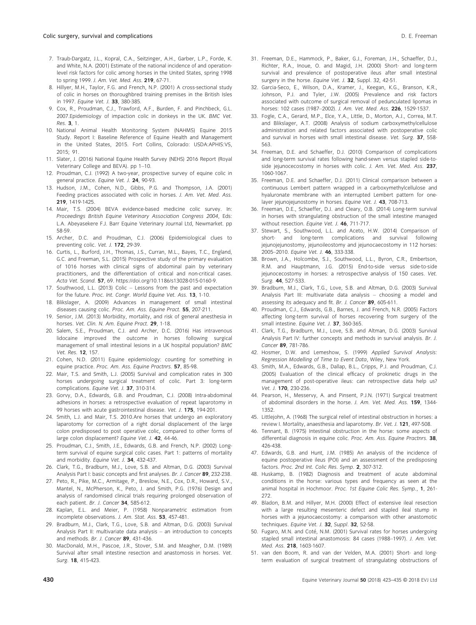- 7. Traub-Dargatz, J.L., Kopral, C.A., Seitzinger, A.H., Garber, L.P., Forde, K. and White, N.A. (2001) Estimate of the national incidence of and operationlevel risk factors for colic among horses in the United States, spring 1998 to spring 1999. J. Am. Vet. Med. Ass. 219, 67-71.
- 8. Hillyer, M.H., Taylor, F.G. and French, N.P. (2001) A cross-sectional study of colic in horses on thoroughbred training premises in the British Isles in 1997. Equine Vet. J. 33, 380-385.
- 9. Cox, R., Proudman, C.J., Trawford, A.F., Burden, F. and Pinchbeck, G.L. 2007.Epidemiology of impaction colic in donkeys in the UK. BMC Vet. Res. 3, 1.
- 10. National Animal Health Monitoring System (NAHMS) Equine 2015 Study. Report I: Baseline Reference of Equine Health and Management in the United States, 2015. Fort Collins, Colorado: USDA:APHIS:VS, 2015; 91.
- 11. Slater, J. (2016) National Equine Health Survey (NEHS) 2016 Report (Royal Veterinary College and BEVA). pp 1–10.
- 12. Proudman, C.J. (1992) A two-year, prospective survey of equine colic in general practice. Equine Vet. J. 24, 90-93.
- 13. Hudson, J.M., Cohen, N.D., Gibbs, P.G. and Thompson, J.A. (2001) Feeding practices associated with colic in horses. J. Am. Vet. Med. Ass. 219, 1419-1425.
- 14. Mair, T.S. (2004) BEVA evidence-based medicine colic survey. In: Proceedings British Equine Veterinary Association Congress 2004, Eds: L.A. Abeyasekere F.J. Barr Equine Veterinary Journal Ltd, Newmarket. pp 58-59.
- 15. Archer, D.C. and Proudman, C.J. (2006) Epidemiological clues to preventing colic. Vet. J. 172, 29-39.
- 16. Curtis, L., Burford, J.H., Thomas, J.S., Curran, M.L., Bayes, T.C., England, G.C. and Freeman, S.L. (2015) Prospective study of the primary evaluation of 1016 horses with clinical signs of abdominal pain by veterinary practitioners, and the differentiation of critical and non-critical cases. Acta Vet. Scand. 57, 69. [https://doi.org/10.1186/s13028-015-0160-9.](https://doi.org/10.1186/s13028-015-0160-9)
- 17. Southwood, L.L. (2013) Colic Lessons from the past and expectation for the future. Proc. Int. Congr. World Equine Vet. Ass. 13, 1-10.
- 18. Blikslager, A. (2009) Advances in management of small intestinal diseases causing colic. Proc. Am. Ass. Equine Pract. 55, 207-211.
- 19. Senior, J.M. (2013) Morbidity, mortality, and risk of general anesthesia in horses. Vet. Clin. N. Am. Equine Pract. 29, 1-18.
- 20. Salem, S.E., Proudman, C.J. and Archer, D.C. (2016) Has intravenous lidocaine improved the outcome in horses following surgical management of small intestinal lesions in a UK hospital population? BMC Vet. Res. 12, 157.
- 21. Cohen, N.D. (2011) Equine epidemiology: counting for something in equine practice. Proc. Am. Ass. Equine Practnrs. 57, 85-98.
- 22. Mair, T.S. and Smith, L.J. (2005) Survival and complication rates in 300 horses undergoing surgical treatment of colic. Part 3: long-term complications. Equine Vet. J. 37, 310-314.
- 23. Gorvy, D.A., Edwards, G.B. and Proudman, C.J. (2008) Intra-abdominal adhesions in horses: a retrospective evaluation of repeat laparotomy in 99 horses with acute gastrointestinal disease. Vet. J. 175, 194-201.
- 24. Smith, L.J. and Mair, T.S. 2010.Are horses that undergo an exploratory laparotomy for correction of a right dorsal displacement of the large colon predisposed to post operative colic, compared to other forms of large colon displacement? Equine Vet. J. 42, 44-46.
- 25. Proudman, C.J., Smith, J.E., Edwards, G.B. and French, N.P. (2002) Longterm survival of equine surgical colic cases. Part 1: patterns of mortality and morbidity. Equine Vet. J. 34, 432-437.
- 26. Clark, T.G., Bradburn, M.J., Love, S.B. and Altman, D.G. (2003) Survival Analysis Part I: basic concepts and first analyses. Br. J. Cancer 89, 232-238.
- 27. Peto, R., Pike, M.C., Armitage, P., Breslow, N.E., Cox, D.R., Howard, S.V., Mantel, N., McPherson, K., Peto, J. and Smith, P.G. (1976) Design and analysis of randomised clinical trials requiring prolonged observation of each patient. Br. J. Cancer 34, 585-612.
- 28. Kaplan, E.L. and Meier, P. (1958) Nonparametric estimation from incomplete observations. J. Am. Stat. Ass. 53, 457-481.
- 29. Bradburn, M.J., Clark, T.G., Love, S.B. and Altman, D.G. (2003) Survival Analysis Part II: multivariate data analysis – an introduction to concepts and methods. Br. J. Cancer 89, 431-436.
- 30. MacDonald, M.H., Pascoe, J.R., Stover, S.M. and Meagher, D.M. (1989) Survival after small intestine resection and anastomosis in horses. Vet. Surg. 18, 415-423.
- 31. Freeman, D.E., Hammock, P., Baker, G.J., Foreman, J.H., Schaeffer, D.J., Richter, R.A., Inoue, O. and Magid, J.H. (2000) Short- and long-term survival and prevalence of postoperative ileus after small intestinal
- surgery in the horse. Equine Vet. J. 32, Suppl. 32, 42-51. 32. Garcia-Seco, E., Wilson, D.A., Kramer, J., Keegan, K.G., Branson, K.R., Johnson, P.J. and Tyler, J.W. (2005) Prevalence and risk factors associated with outcome of surgical removal of pedunculated lipomas in horses: 102 cases (1987–2002). J. Am. Vet. Med. Ass. 226, 1529-1537.
- 33. Fogle, C.A., Gerard, M.P., Elce, Y.A., Little, D., Morton, A.J., Correa, M.T. and Blikslager, A.T. (2008) Analysis of sodium carboxymethylcellulose administration and related factors associated with postoperative colic and survival in horses with small intestinal disease. Vet. Surg. 37, 558-563.
- 34. Freeman, D.E. and Schaeffer, D.J. (2010) Comparison of complications and long-term survival rates following hand-sewn versus stapled side-toside jejunocecostomy in horses with colic. J. Am. Vet. Med. Ass. 237, 1060-1067.
- 35. Freeman, D.E. and Schaeffer, D.J. (2011) Clinical comparison between a continuous Lembert pattern wrapped in a carboxymethylcellulose and hyaluronate membrane with an interrupted Lembert pattern for onelayer jejunojejunostomy in horses. Equine Vet. J. 43, 708-713.
- 36. Freeman, D.E., Schaeffer, D.J. and Cleary, O.B. (2014) Long-term survival in horses with strangulating obstruction of the small intestine managed without resection. Equine Vet. J. 46, 711-717.
- 37. Stewart, S., Southwood, L.L. and Aceto, H.W. (2014) Comparison of short- and long-term complications and survival following jejunojejunostomy, jejunoileostomy and jejunocaecostomy in 112 horses: 2005–2010. Equine Vet. J. 46, 333-338.
- 38. Brown, J.A., Holcombe, S.J., Southwood, L.L., Byron, C.R., Embertson, R.M. and Hauptmann, J.G. (2015) End-to-side versus side-to-side jejunocecostomy in horses: a retrospective analysis of 150 cases. Vet. Surg. 44, 527-533.
- 39. Bradburn, M.J., Clark, T.G., Love, S.B. and Altman, D.G. (2003) Survival Analysis Part III: multivariate data analysis – choosing a model and assessing its adequacy and fit. Br. J. Cancer 89, 605-611.
- 40. Proudman, C.J., Edwards, G.B., Barnes, J. and French, N.R. (2005) Factors affecting long-term survival of horses recovering from surgery of the small intestine. Equine Vet. J. 37, 360-365.
- 41. Clark, T.G., Bradburn, M.J., Love, S.B. and Altman, D.G. (2003) Survival Analysis Part IV: further concepts and methods in survival analysis. Br. J. Cancer 89, 781-786.
- 42. Hosmer, D.W. and Lemeshow, S. (1999) Applied Survival Analysis: Regression Modelling of Time to Event Data, Wiley, New York.
- 43. Smith, M.A., Edwards, G.B., Dallap, B.L., Cripps, P.J. and Proudman, C.J. (2005) Evaluation of the clinical efficacy of prokinetic drugs in the management of post-operative ileus: can retrospective data help us? Vet. J. **170**, 230-236.
- 44. Pearson, H., Messervy, A. and Pinsent, P.J.N. (1971) Surgical treatment of abdominal disorders in the horse. J. Am. Vet. Med. Ass. 159, 1344-1352.
- 45. Littlejohn, A. (1968) The surgical relief of intestinal obstruction in horses: a review I. Mortality, anaesthesia and laparotomy. Br. Vet. J. 121, 497-508.
- 46. Tennant, B. (1975) Intestinal obstruction in the horse: some aspects of differential diagnosis in equine colic. Proc. Am. Ass. Equine Practnrs. 38, 426-438.
- 47. Edwards, G.B. and Hunt, J.M. (1985) An analysis of the incidence of equine postoperative ileus (POI) and an assessment of the predisposing factors. Proc. 2nd Int. Colic Res. Symp. 2, 307-312.
- 48. Huskamp, B. (1982) Diagnosis and treatment of acute abdominal conditions in the horse: various types and frequency as seen at the animal hospital in Hochmoor. Proc. 1st Equine Colic Res. Symp., 1, 261- 272.
- 49. Bladon, B.M. and Hillyer, M.H. (2000) Effect of extensive ileal resection with a large resulting mesenteric defect and stapled ileal stump in horses with a jejunocaecostomy: a comparison with other anastomotic techniques. Equine Vet. J. 32, Suppl. 32, 52-58.
- 50. Fugaro, M.N. and Coté, N.M. (2001) Survival rates for horses undergoing stapled small intestinal anastomosis: 84 cases (1988–1997). J. Am. Vet. Med. Ass. 218, 1603-1607.
- 51. van den Boom, R. and van der Velden, M.A. (2001) Short- and longterm evaluation of surgical treatment of strangulating obstructions of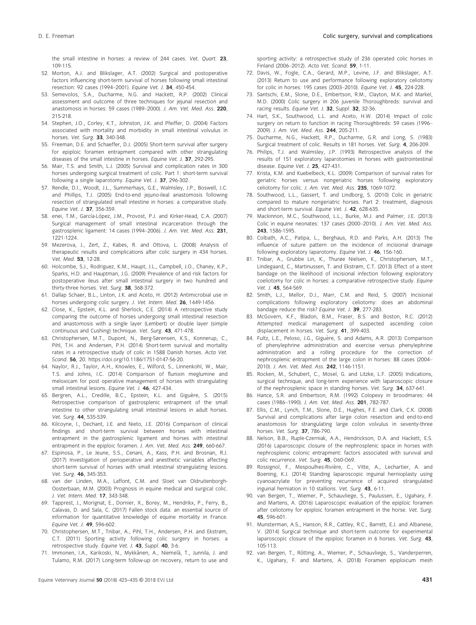the small intestine in horses: a review of 244 cases. Vet. Ouart. 23, 109-115.

- 52. Morton, A.J. and Blikslager, A.T. (2002) Surgical and postoperative factors influencing short-term survival of horses following small intestinal resection: 92 cases (1994–2001). Equine Vet. J. 34, 450-454.
- 53. Semevolos, S.A., Ducharme, N.G. and Hackett, R.P. (2002) Clinical assessment and outcome of three techniques for jejunal resection and anastomosis in horses: 59 cases (1989–2000). J. Am. Vet. Med. Ass. 220, 215-218.
- 54. Stephen, J.O., Corley, K.T., Johnston, J.K. and Pfeiffer, D. (2004) Factors associated with mortality and morbidity in small intestinal volvulus in horses. Vet. Surg. 33, 340-348.
- 55. Freeman, D.E. and Schaeffer, D.J. (2005) Short-term survival after surgery for epiploic foramen entrapment compared with other strangulating diseases of the small intestine in horses. Equine Vet. J. 37, 292-295.
- 56. Mair, T.S. and Smith, L.J. (2005) Survival and complication rates in 300 horses undergoing surgical treatment of colic. Part 1: short-term survival following a single laparotomy. Equine Vet. J. 37, 296-302.
- 57. Rendle, D.I., Woodt, J.L., Summerhays, G.E., Walmsley, J.P., Boswell, J.C. and Phillips, T.J. (2005) End-to-end jejuno-ileal anastomosis following resection of strangulated small intestine in horses: a comparative study. Equine Vet. J. 37, 356-359.
- 58. enei, T.M., García-López, J.M., Provost, P.J. and Kirker-Head, C.A. (2007) Surgical management of small intestinal incarceration through the gastrosplenic ligament: 14 cases (1994–2006). J. Am. Vet. Med. Ass. 231, 1221-1224.
- 59. Mezerova, J., Zert, Z., Kabes, R. and Ottova, L. (2008) Analysis of therapeutic results and complications after colic surgery in 434 horses. Vet. Med. 53, 12-28.
- 60. Holcombe, S.J., Rodriguez, K.M., Haupt, J.L., Campbell, J.O., Chaney, K.P., Sparks, H.D. and Hauptman, J.G. (2009) Prevalence of and risk factors for postoperative ileus after small intestinal surgery in two hundred and thirty-three horses. Vet. Surg. 38, 368-372.
- 61. Dallap Schaer, B.L., Linton, J.K. and Aceto, H. (2012) Antimicrobial use in horses undergoing colic surgery. J. Vet. Intern. Med. 26, 1449-1456.
- 62. Close, K., Epstein, K.L. and Sherlock, C.E. (2014) A retrospective study comparing the outcome of horses undergoing small intestinal resection and anastomosis with a single layer (Lembert) or double layer (simple continuous and Cushing) technique. Vet. Surg. 43, 471-478.
- 63. Christophersen, M.T., Dupont, N., Berg-Sørensen, K.S., Konnerup, C., Pihl, T.H. and Andersen, P.H. (2014) Short-term survival and mortality rates in a retrospective study of colic in 1588 Danish horses. Acta Vet. Scand. 56, 20. [https://doi.org/10.1186/1751-0147-56-20.](https://doi.org/10.1186/1751-0147-56-20)
- 64. Naylor, R.J., Taylor, A.H., Knowles, E., Wilford, S., Linnenkohl, W., Mair, T.S. and Johns, I.C. (2014) Comparison of flunixin meglumine and meloxicam for post operative management of horses with strangulating small intestinal lesions. Equine Vet. J. 46, 427-434.
- 65. Bergren, A.L., Credille, B.C., Epstein, K.L. and Giguère, S. (2015) Retrospective comparison of gastrosplenic entrapment of the small intestine to other strangulating small intestinal lesions in adult horses. Vet. Surg. 44, 535-539.
- 66. Kilcoyne, I., Dechant, J.E. and Nieto, J.E. (2016) Comparison of clinical findings and short-term survival between horses with intestinal entrapment in the gastrosplenic ligament and horses with intestinal entrapment in the epiploic foramen. J. Am. Vet. Med. Ass. 249, 660-667.
- 67. Espinosa, P., Le Jeune, S.S., Cenani, A., Kass, P.H. and Brosnan, R.J. (2017) Investigation of perioperative and anesthetic variables affecting short-term survival of horses with small intestinal strangulating lesions. Vet. Surg. 46, 345-353.
- 68. van der Linden, M.A., Laffont, C.M. and Sloet van Oldruitenborgh-Oosterbaan, M.M. (2003) Prognosis in equine medical and surgical colic. J. Vet. Intern. Med. 17, 343-348.
- 69. Tapprest, J., Morignat, E., Dornier, X., Borey, M., Hendrikx, P., Ferry, B., Calavas, D. and Sala, C. (2017) Fallen stock data: an essential source of information for quantitative knowledge of equine mortality in France. Equine Vet. J. 49, 596-602.
- 70. Christophersen, M.T., Tnibar, A., Pihl, T.H., Andersen, P.H. and Ekstrøm, C.T. (2011) Sporting activity following colic surgery in horses: a retrospective study. Equine Vet. J. 43, Suppl. 40, 3-6.
- 71. Immonen, I.A., Karikoski, N., Mykkänen, A., Niemelä, T., Junnila, J. and Tulamo, R.M. (2017) Long-term follow-up on recovery, return to use and

sporting activity: a retrospective study of 236 operated colic horses in Finland (2006–2012). Acta Vet. Scand. 59, 1-11.

- 72. Davis, W., Fogle, C.A., Gerard, M.P., Levine, J.F. and Blikslager, A.T. (2013) Return to use and performance following exploratory celiotomy for colic in horses: 195 cases (2003–2010). Equine Vet. J. 45, 224-228.
- 73. Santschi, E.M., Slone, D.E., Embertson, R.M., Clayton, M.K. and Markel, M.D. (2000) Colic surgery in 206 juvenile Thoroughbreds: survival and racing results. Equine Vet. J. 32, Suppl. 32, 32-36.
- 74. Hart, S.K., Southwood, L.L. and Aceto, H.W. (2014) Impact of colic surgery on return to function in racing Thoroughbreds: 59 cases (1996– 2009). J. Am. Vet. Med. Ass. 244, 205-211.
- 75. Ducharme, N.G., Hackett, R.P., Ducharme, G.R. and Long, S. (1983) Surgical treatment of colic. Results in 181 horses. Vet. Surg. 4, 206-209.
- 76. Philips, T.J. and Walmsley, J.P. (1993) Retrospective analysis of the results of 151 exploratory laparotomies in horses with gastrointestinal disease. Equine Vet. J. 25, 427-431.
- 77. Krista, K.M. and Kuebelbeck, K.L. (2009) Comparison of survival rates for geriatric horses versus nongeriatric horses following exploratory celiotomy for colic. J. Am. Vet. Med. Ass. 235, 1069-1072.
- 78. Southwood, L.L., Gassert, T. and Lindborg, S. (2010) Colic in geriatric compared to mature nongeriatric horses. Part 2: treatment, diagnosis and short-term survival. Equine Vet. J. 42, 628-635.
- 79. Mackinnon, M.C., Southwood, L.L., Burke, M.J. and Palmer, J.E. (2013) Colic in equine neonates: 137 cases (2000–2010). J. Am. Vet. Med. Ass. 243, 1586-1595.
- 80. Colbath, A.C., Patipa, L., Berghaus, R.D. and Parks, A.H. (2013) The influence of suture pattern on the incidence of incisional drainage following exploratory laparotomy. Equine Vet. J. 46, 156-160.
- 81. Tnibar, A., Grubbe Lin, K., Thurøe Nielsen, K., Christophersen, M.T., Lindegaard, C., Martinussen, T. and Ekstrøm, C.T. (2013) Effect of a stent bandage on the likelihood of incisional infection following exploratory coeliotomy for colic in horses: a comparative retrospective study. Equine Vet. J. 45, 564-569.
- 82. Smith, L.J., Mellor, D.J., Marr, C.M. and Reid, S. (2007) Incisional complications following exploratory celiotomy: does an abdominal bandage reduce the risk? Equine Vet. J. 39, 277-283.
- 83. McGovern, K.F., Bladon, B.M., Fraser, B.S. and Boston, R.C. (2012) Attempted medical management of suspected ascending colon displacement in horses. Vet. Surg. 41, 399-403.
- 84. Fultz, L.E., Peloso, J.G., Giguère, S. and Adams, A.R. (2013) Comparison of phenylephrine administration and exercise versus phenylephrine administration and a rolling procedure for the correction of nephrosplenic entrapment of the large colon in horses: 88 cases (2004– 2010). J. Am. Vet. Med. Ass. 242, 1146-1151.
- 85. Rocken, M., Schubert, C., Mosel, G. and Litzke, L.F. (2005) Indications, surgical technique, and long-term experience with laparoscopic closure of the nephrosplenic space in standing horses. Vet. Surg. 34, 637-641.
- 86. Hance, S.R. and Embertson, R.M. (1992) Colopexy in broodmares: 44 cases (1986–1990). J. Am. Vet. Med. Ass. 201, 782-787.
- 87. Ellis, C.M., Lynch, T.M., Slone, D.E., Hughes, F.E. and Clark, C.K. (2008) Survival and complications after large colon resection and end-to-end anastomosis for strangulating large colon volvulus in seventy-three horses. Vet. Surg. 37, 786-790.
- 88. Nelson, B.B., Ruple-Czerniak, A.A., Hendrickson, D.A. and Hackett, E.S. (2016) Laparoscopic closure of the nephrosplenic space in horses with nephrosplenic colonic entrapment: factors associated with survival and colic recurrence. Vet. Surg. 45, O60-O69.
- 89. Rossignol, F., Mespoulhes-Rivière, C., Vitte, A., Lechartier, A. and Boening, K.J. (2014) Standing laparoscopic inguinal hernioplasty using cyanoacrylate for preventing recurrence of acquired strangulated inguinal herniation in 10 stallions. Vet. Surg. 43, 6-11.
- 90. van Bergen, T., Wiemer, P., Schauvliege, S., Paulussen, E., Ugahary, F. and Martens, A. (2016) Laparoscopic evaluation of the epiploic foramen after celiotomy for epiploic foramen entrapment in the horse. Vet. Surg. 45, 596-601.
- 91. Munsterman, A.S., Hanson, R.R., Cattley, R.C., Barrett, E.J. and Albanese, V. (2014) Surgical technique and short-term outcome for experimental laparoscopic closure of the epiploic foramen in 6 horses. Vet. Surg. 43, 105-113.
- 92. van Bergen, T., Rötting, A., Wiemer, P., Schauvliege, S., Vanderperren, K., Ugahary, F. and Martens, A. (2018) Foramen epiploicum mesh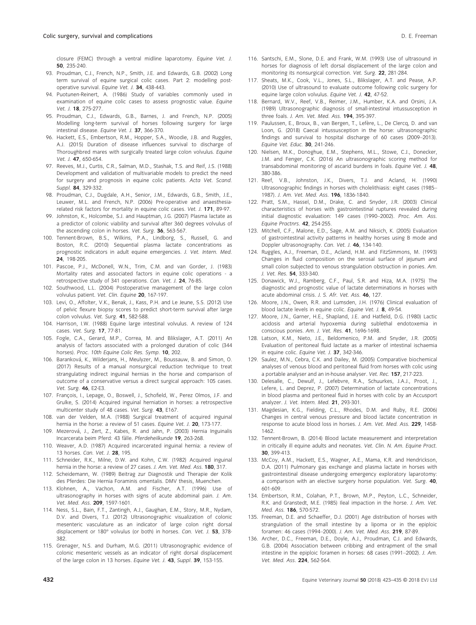closure (FEMC) through a ventral midline laparotomy. Equine Vet. J. 50, 235-240.

- 93. Proudman, C.J., French, N.P., Smith, J.E. and Edwards, G.B. (2002) Long term survival of equine surgical colic cases. Part 2: modelling postoperative survival. Equine Vet. J. 34, 438-443.
- 94. Puotunen-Reinert, A. (1986) Study of variables commonly used in examination of equine colic cases to assess prognostic value. Equine Vet. J. 18, 275-277.
- 95. Proudman, C.J., Edwards, G.B., Barnes, J. and French, N.P. (2005) Modelling long-term survival of horses following surgery for large intestinal disease. Equine Vet. J. 37, 366-370.
- 96. Hackett, E.S., Embertson, R.M., Hopper, S.A., Woodie, J.B. and Ruggles, A.J. (2015) Duration of disease influences survival to discharge of Thoroughbred mares with surgically treated large colon volvulus. Equine Vet. *I*. 47, 650-654.
- 97. Reeves, M.J., Curtis, C.R., Salman, M.D., Stashak, T.S. and Reif, J.S. (1988) Development and validation of multivariable models to predict the need for surgery and prognosis in equine colic patients. Acta Vet. Scand. Suppl. 84, 329-332.
- 98. Proudman, C.J., Dugdale, A.H., Senior, J.M., Edwards, G.B., Smith, J.E., Leuwer, M.L. and French, N.P. (2006) Pre-operative and anaesthesiarelated risk factors for mortality in equine colic cases. Vet. J. 171, 89-97.
- 99. Johnston, K., Holcombe, S.J. and Hauptman, J.G. (2007) Plasma lactate as a predictor of colonic viability and survival after 360 degrees volvulus of the ascending colon in horses. Vet. Surg. 36, 563-567.
- 100. Tennent-Brown, B.S., Wilkins, P.A., Lindborg, S., Russell, G. and Boston, R.C. (2010) Sequential plasma lactate concentrations as prognostic indicators in adult equine emergencies. J. Vet. Intern. Med. 24, 198-205.
- 101. Pascoe, P.J., McDonell, W.N., Trim, C.M. and van Gorder, J. (1983) Mortality rates and associated factors in equine colic operations - a retrospective study of 341 operations. Can. Vet. J. 24, 76-85.
- 102. Southwood, L.L. (2004) Postoperative management of the large colon volvulus patient. Vet. Clin. Equine 20, 167-197.
- 103. Levi, O., Affolter, V.K., Benak, J., Kass, P.H. and Le Jeune, S.S. (2012) Use of pelvic flexure biopsy scores to predict short-term survival after large colon volvulus. Vet. Surg. 41, 582-588.
- 104. Harrison, I.W. (1988) Equine large intestinal volvulus. A review of 124 cases. Vet. Surg. 17, 77-81.
- 105. Fogle, C.A., Gerard, M.P., Correa, M. and Blikslager, A.T. (2011) An analysis of factors associated with a prolonged duration of colic (344 horses). Proc. 10th Equine Colic Res. Symp. 10, 202.
- 106. Baranková, K., Wilderjans, H., Meulyzer, M., Boussauw, B. and Simon, O. (2017) Results of a manual nonsurgical reduction technique to treat strangulating indirect inguinal hernias in the horse and comparison of outcome of a conservative versus a direct surgical approach: 105 cases. Vet. Surg. 46, E2-E3.
- 107. François, I., Lepage, O., Boswell, J., Schofield, W., Perez Olmos, J.F. and Grulke, S. (2014) Acquired inguinal herniation in horses: a retrospective multicenter study of 48 cases. Vet. Surg. 43, E167.
- 108. van der Velden, M.A. (1988) Surgical treatment of acquired inguinal hernia in the horse: a review of 51 cases. Equine Vet. J. 20, 173-177.
- 109. Mezerová, J., Zert, Z., Kabes, R. and Jahn, P. (2003) Hernia Inguinalis Incarcerata beim Pferd: 43 fälle. Pferdeheilkunde 19, 263-268.
- 110. Weaver, A.D. (1987) Acquired incarcerated inguinal hernia: a review of 13 horses. Can. Vet. J. 28, 195.
- 111. Schneider, R.K., Milne, D.W. and Kohn, C.W. (1982) Acquired inguinal hernia in the horse: a review of 27 cases. J. Am. Vet. Med. Ass. 180, 317.
- 112. Scheidemann, W. (1989) Beitrag zur Diagnostik und Therapie der Kolik des Pferdes: Die Hernia Foraminis omentalis. DMV thesis, Muenchen.
- 113. Klohnen, A., Vachon, A.M. and Fischer, A.T. (1996) Use of ultrasonography in horses with signs of acute abdominal pain. J. Am. Vet. Med. Ass. 209, 1597-1601.
- 114. Ness, S.L., Bain, F.T., Zantingh, A.J., Gaughan, E.M., Story, M.R., Nydam, D.V. and Divers, T.J. (2012) Ultrasonographic visualization of colonic mesenteric vasculature as an indicator of large colon right dorsal displacement or 180° volvulus (or both) in horses. Can. Vet. J. 53, 378- 382.
- 115. Grenager, N.S. and Durham, M.G. (2011) Ultrasonographic evidence of colonic mesenteric vessels as an indicator of right dorsal displacement of the large colon in 13 horses. Equine Vet. J. 43, Suppl. 39, 153-155.
- 116. Santschi, E.M., Slone, D.E. and Frank, W.M. (1993) Use of ultrasound in horses for diagnosis of left dorsal displacement of the large colon and monitoring its nonsurgical correction. Vet. Surg. 22, 281-284.
- 117. Sheats, M.K., Cook, V.L., Jones, S.L., Blikslager, A.T. and Pease, A.P. (2010) Use of ultrasound to evaluate outcome following colic surgery for equine large colon volvulus. Fauine Vet. J. 42, 47-52.
- 118. Bernard, W.V., Reef, V.B., Reimer, J.M., Humber, K.A. and Orsini, J.A. (1989) Ultrasonographic diagnosis of small-intestinal intussusception in three foals. J. Am. Vet. Med. Ass. 194, 395-397.
- 119. Paulussen, E., Broux, B., van Bergen, T., Lefère, L., De Clercq, D. and van Loon, G. (2018) Caecal intussusception in the horse: ultrasonographic findings and survival to hospital discharge of 60 cases (2009–2013). Equine Vet. Educ. 30, 241-246.
- 120. Nielsen, M.K., Donoghue, E.M., Stephens, M.L., Stowe, C.J., Donecker, J.M. and Fenger, C.K. (2016) An ultrasonographic scoring method for transabdominal monitoring of ascarid burdens in foals. Equine Vet. J. 48, 380-386.
- 121. Reef, V.B., Johnston, J.K., Divers, T.J. and Acland, H. (1990) Ultrasonographic findings in horses with cholelithiasis: eight cases (1985– 1987). J. Am. Vet. Med. Ass. 196, 1836-1840.
- 122. Pratt, S.M., Hassel, D.M., Drake, C. and Snyder, J.R. (2003) Clinical characteristics of horses with gastrointestinal ruptures revealed during initial diagnostic evaluation: 149 cases (1990–2002). Proc. Am. Ass. Equine Practnrs. 42, 254-255.
- 123. Mitchell, C.F., Malone, E.D., Sage, A.M. and Niksich, K. (2005) Evaluation of gastrointestinal activity patterns in healthy horses using B mode and Doppler ultrasonography. Can. Vet. J. 46, 134-140.
- 124. Ruggles, A.J., Freeman, D.E., Acland, H.M. and FitzSimmons, M. (1993) Changes in fluid composition on the serosal surface of jejunum and small colon subjected to venous strangulation obstruction in ponies. Am. J. Vet. Res. 54, 333-340.
- 125. Donawick, W.J., Ramberg, C.F., Paul, S.R. and Hiza, M.A. (1975) The diagnostic and prognostic value of lactate determinations in horses with acute abdominal crisis. J. S. Afr. Vet. Ass. 46, 127.
- 126. Moore, J.N., Owen, R.R. and Lumsden, J.H. (1976) Clinical evaluation of blood lactate levels in equine colic. Equine Vet. J. 8, 49-54.
- 127. Moore, J.N., Garner, H.E., Shapland, J.E. and Hatfield, D.G. (1980) Lactic acidosis and arterial hypoxemia during sublethal endotoxemia in conscious ponies. Am. J. Vet. Res. 41, 1696-1698.
- 128. Latson, K.M., Nieto, J.E., Beldomenico, P.M. and Snyder, J.R. (2005) Evaluation of peritoneal fluid lactate as a marker of intestinal ischaemia in equine colic. Equine Vet. J. 37, 342-346.
- 129. Saulez, M.N., Cebra, C.K. and Dailey, M. (2005) Comparative biochemical analyses of venous blood and peritoneal fluid from horses with colic using a portable analyser and an in-house analyser. Vet. Rec. 157, 217-223.
- 130. Delesalle, C., Dewulf, J., Lefebvre, R.A., Schuurkes, J.A.J., Proot, J., Lefere, L. and Deprez, P. (2007) Determination of lactate concentrations in blood plasma and peritoneal fluid in horses with colic by an Accusport analyzer. J. Vet. Intern. Med. 21, 293-301.
- 131. Magdesian, K.G., Fielding, C.L., Rhodes, D.M. and Ruby, R.E. (2006) Changes in central venous pressure and blood lactate concentration in response to acute blood loss in horses. J. Am. Vet. Med. Ass. 229, 1458-1462.
- 132. Tennent-Brown, B. (2014) Blood lactate measurement and interpretation in critically ill equine adults and neonates. Vet. Clin. N. Am. Equine Pract. 30, 399-413.
- 133. McCoy, A.M., Hackett, E.S., Wagner, A.E., Mama, K.R. and Hendrickson, D.A. (2011) Pulmonary gas exchange and plasma lactate in horses with gastrointestinal disease undergoing emergency exploratory laparotomy: a comparison with an elective surgery horse population. Vet. Surg. 40, 601-609.
- 134. Embertson, R.M., Colahan, P.T., Brown, M.P., Peyton, L.C., Schneider, R.K. and Granstedt, M.E. (1985) Ileal impaction in the horse. J. Am. Vet. Med. Ass. 186, 570-572.
- 135. Freeman, D.E. and Schaeffer, D.J. (2001) Age distribution of horses with strangulation of the small intestine by a lipoma or in the epiploic foramen: 46 cases (1994–2000). J. Am. Vet. Med. Ass. 219, 87-89.
- 136. Archer, D.C., Freeman, D.E., Doyle, A.J., Proudman, C.J. and Edwards, G.B. (2004) Association between cribbing and entrapment of the small intestine in the epiploic foramen in horses: 68 cases (1991–2002). J. Am. Vet. Med. Ass. 224, 562-564.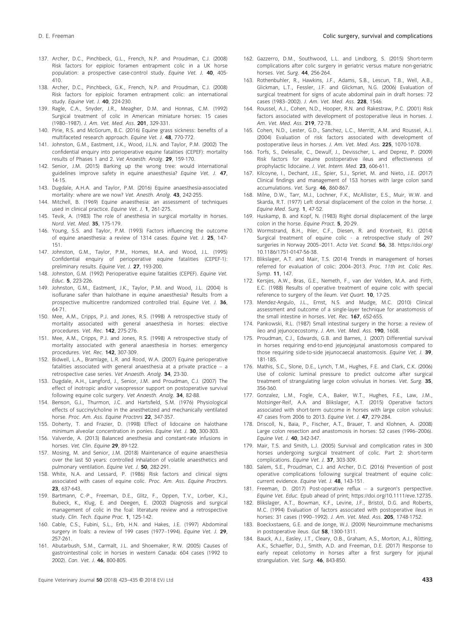- 137. Archer, D.C., Pinchbeck, G.L., French, N.P. and Proudman, C.J. (2008) Risk factors for epiploic foramen entrapment colic in a UK horse population: a prospective case-control study. Equine Vet. J. 40, 405-410.
- 138. Archer, D.C., Pinchbeck, G.K., French, N.P. and Proudman, C.J. (2008) Risk factors for epiploic foramen entrapment colic: an international study. Equine Vet. J. 40, 224-230.
- 139. Ragle, C.A., Snyder, J.R., Meagher, D.M. and Honnas, C.M. (1992) Surgical treatment of colic in American miniature horses: 15 cases (1980–1987). J. Am. Vet. Med. Ass. 201, 329-331.
- 140. Pirie, R.S. and McGorum, B.C. (2016) Equine grass sickness: benefits of a multifaceted research approach. Equine Vet. J. 48, 770-772.
- 141. Johnston, G.M., Eastment, J.K., Wood, J.L.N. and Taylor, P.M. (2002) The confidential enquiry into perioperative equine fatalities (CEPEF): mortality results of Phases 1 and 2. Vet Anaesth. Analg. 29, 159-170.
- 142. Senior, J.M. (2015) Barking up the wrong tree: would international guidelines improve safety in equine anaesthesia? Equine Vet. J. 47, 14-15.
- 143. Dugdale, A.H.A. and Taylor, P.M. (2016) Equine anaesthesia-associated mortality: where are we now? Vet. Anesth. Analg. 43, 242-255.
- 144. Mitchell, B. (1969) Equine anaesthesia: an assessment of techniques used in clinical practice. Equine Vet. J. 1, 261-275.
- 145. Tevik, A. (1983) The role of anesthesia in surgical mortality in horses. Nord. Vet. Med. 35, 175-179.
- 146. Young, S.S. and Taylor, P.M. (1993) Factors influencing the outcome of equine anaesthesia: a review of 1314 cases. Equine Vet. J. 25, 147-151.
- 147. Johnston, G.M., Taylor, P.M., Homes, M.A. and Wood, J.L. (1995) Confidential enquiry of perioperative equine fatalities (CEPEF-1): preliminary results. Equine Vet. J. 27, 193-200.
- 148. Johnston, G.M. (1992) Perioperative equine fatalities (CEPEF). Equine Vet. Educ. 5, 223-226.
- 149. Johnston, G.M., Eastment, J.K., Taylor, P.M. and Wood, J.L. (2004) Is isoflurane safer than halothane in equine anaesthesia? Results from a prospective multicentre randomized controlled trial. Equine Vet. J. 36, 64-71.
- 150. Mee, A.M., Cripps, P.J. and Jones, R.S. (1998) A retrospective study of mortality associated with general anaesthesia in horses: elective procedures. Vet. Rec. 142, 275-276.
- 151. Mee, A.M., Cripps, P.J. and Jones, R.S. (1998) A retrospective study of mortality associated with general anaesthesia in horses: emergency procedures. Vet. Rec. 142, 307-309.
- 152. Bidwell, L.A., Bramlage, L.R. and Rood, W.A. (2007) Equine perioperative fatalities associated with general anaesthesia at a private practice – a retrospective case series. Vet Anaesth. Analg. 34, 23-30.
- 153. Dugdale, A.H., Langford, J., Senior, J.M. and Proudman, C.J. (2007) The effect of inotropic and/or vasopressor support on postoperative survival following equine colic surgery. Vet Anaesth. Analg. 34, 82-88.
- 154. Benson, G.J., Thurmon, J.C. and Hartsfield, S.M. (1976) Physiological effects of succinylcholine in the anesthetized and mechanically ventilated horse. Proc. Am. Ass. Equine Practnrs 22, 347-357.
- 155. Doherty, T. and Frazier, D. (1998) Effect of lidocaine on halothane minimum alveolar concentration in ponies. Equine Vet. J. 30, 300-303.
- 156. Valverde, A. (2013) Balanced anesthesia and constant-rate infusions in horses. Vet. Clin. Equine 29, 89-122.
- 157. Mosing, M. and Senior, J.M. (2018) Maintenance of equine anaesthesia over the last 50 years: controlled inhalation of volatile anaesthetics and pulmonary ventilation. Equine Vet. J. 50, 282-291.
- 158. White, N.A. and Lessard, P. (1986) Risk factors and clinical signs associated with cases of equine colic. Proc. Am. Ass. Equine Practnrs. 23, 637-643.
- 159. Bartmann, C.-P., Freeman, D.E., Glitz, F., Oppen, T.V., Lorber, K.J., Bubeck, K., Klug, E. and Deegen, E. (2002) Diagnosis and surgical management of colic in the foal: literature review and a retrospective study. Clin. Tech. Equine Prac. 1, 125-142.
- 160. Cable, C.S., Fubini, S.L., Erb, H.N. and Hakes, J.E. (1997) Abdominal surgery in foals: a review of 199 cases (1977–1994). Equine Vet. J. 29, 257-261.
- 161. Abutarbush, S.M., Carmalt, J.L. and Shoemaker, R.W. (2005) Causes of gastrointestinal colic in horses in western Canada: 604 cases (1992 to 2002). Can. Vet. J. 46, 800-805.
- 162. Gazzerro, D.M., Southwood, L.L. and Lindborg, S. (2015) Short-term complications after colic surgery in geriatric versus mature non-geriatric horses. Vet. Surg. 44, 256-264.
- 163. Rothenbuhler, R., Hawkins, J.F., Adams, S.B., Lescun, T.B., Well, A.B., Glickman, L.T., Fessler, J.F. and Glickman, N.G. (2006) Evaluation of surgical treatment for signs of acute abdominal pain in draft horses: 72 cases (1983–2002). J. Am. Vet. Med. Ass. 228, 1546.
- 164. Roussel, A.J., Cohen, N.D., Hooper, R.N. and Rakestraw, P.C. (2001) Risk factors associated with development of postoperative ileus in horses. J. Am. Vet. Med. Ass. 219, 72-78.
- 165. Cohen, N.D., Lester, G.D., Sanchez, L.C., Merritt, A.M. and Roussel, A.J. (2004) Evaluation of risk factors associated with development of postoperative ileus in horses. J. Am. Vet. Med. Ass. 225, 1070-1078.
- 166. Torfs, S., Delesalle, C., Dewulf, J., Devisscher, L. and Deprez, P. (2009) Risk factors for equine postoperative ileus and effectiveness of prophylactic lidocaine. J. Vet. Intern. Med. 23, 606-611.
- 167. Kilcoyne, I., Dechant, J.E., Spier, S.J., Spriet, M. and Nieto, J.E. (2017) Clinical findings and management of 153 horses with large colon sand accumulations. Vet. Surg. 46, 860-867.
- 168. Milne, D.W., Tarr, M.J., Lochner, F.K., McAllister, E.S., Muir, W.W. and Skarda, R.T. (1977) Left dorsal displacement of the colon in the horse. J. Equine Med. Surg. 1, 47-52.
- 169. Huskamp, B. and Kopf, N. (1983) Right dorsal displacement of the large colon in the horse. Equine Pract. 5, 20-29.
- 170. Wormstrand, B.H., Ihler, C.F., Diesen, R. and Krontveit, R.I. (2014) Surgical treatment of equine colic - a retrospective study of 297 surgeries in Norway 2005–2011. Acta Vet. Scand. 56, 38. [https://doi.org/](https://doi.org/10.1186/1751-0147-56-38) [10.1186/1751-0147-56-38](https://doi.org/10.1186/1751-0147-56-38).
- 171. Blikslager, A.T. and Mair, T.S. (2014) Trends in management of horses referred for evaluation of colic: 2004–2013. Proc. 11th Int. Colic Res. Symp. 11, 147.
- 172. Kersjes, A.W., Bras, G.E., Nemeth, F., van der Velden, M.A. and Firth, E.C. (1988) Results of operative treatment of equine colic with special reference to surgery of the ileum. Vet Quart. 10, 17-25.
- 173. Mendez-Angulo, J.L., Ernst, N.S. and Mudge, M.C. (2010) Clinical assessment and outcome of a single-layer technique for anastomosis of the small intestine in horses. Vet. Rec. 167, 652-655.
- 174. Pankowski, R.L. (1987) Small intestinal surgery in the horse: a review of ileo and jejunocecostomy. J. Am. Vet. Med. Ass. 190, 1608.
- 175. Proudman, C.J., Edwards, G.B. and Barnes, J. (2007) Differential survival in horses requiring end-to-end jejunojejunal anastomosis compared to those requiring side-to-side jejunocaecal anastomosis. Equine Vet. J. 39, 181-185.
- 176. Mathis, S.C., Slone, D.E., Lynch, T.M., Hughes, F.E. and Clark, C.K. (2006) Use of colonic luminal pressure to predict outcome after surgical treatment of strangulating large colon volvulus in horses. Vet. Surg. 35, 356-360.
- 177. Gonzalez, L.M., Fogle, C.A., Baker, W.T., Hughes, F.E., Law, J.M., Motsinger-Reif, A.A. and Blikslager, A.T. (2015) Operative factors associated with short-term outcome in horses with large colon volvulus: 47 cases from 2006 to 2013. Equine Vet. J. 47, 279-284.
- 178. Driscoll, N., Baia, P., Fischer, A.T., Brauer, T. and Klohnen, A. (2008) Large colon resection and anastomosis in horses: 52 cases (1996–2006). Equine Vet. J. 40, 342-347.
- 179. Mair, T.S. and Smith, L.J. (2005) Survival and complication rates in 300 horses undergoing surgical treatment of colic. Part 2: short-term complications. Equine Vet. J. 37, 303-309.
- 180. Salem, S.E., Proudman, C.J. and Archer, D.C. (2016) Prevention of post operative complications following surgical treatment of equine colic: current evidence. Equine Vet. J. 48, 143-151.
- 181. Freeman, D. (2017) Post-operative reflux a surgeon's perspective. Equine Vet. Educ. Epub ahead of print;<https://doi.org/10.1111/eve.12735>.
- 182. Blikslager, A.T., Bowman, K.F., Levine, J.F., Bristol, D.G. and Roberts, M.C. (1994) Evaluation of factors associated with postoperative ileus in horses: 31 cases (1990–1992). J. Am. Vet. Med. Ass. 205, 1748-1752.
- 183. Boeckxstaens, G.E. and de Jonge, W.J. (2009) Neuroimmune mechanisms in postoperative ileus. Gut 58, 1300-1311.
- 184. Bauck, A.J., Easley, J.T., Cleary, O.B., Graham, A.S., Morton, A.J., Rötting, A.K., Schaeffer, D.J., Smith, A.D. and Freeman, D.E. (2017) Response to early repeat celiotomy in horses after a first surgery for jejunal strangulation. Vet. Surg. 46, 843-850.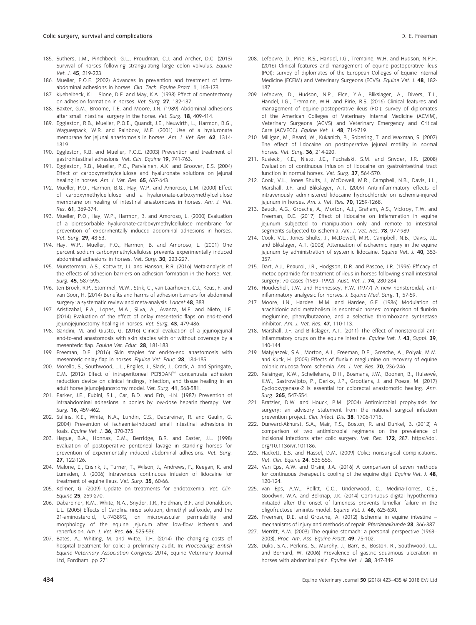- 185. Suthers, J.M., Pinchbeck, G.L., Proudman, C.J. and Archer, D.C. (2013) Survival of horses following strangulating large colon volvulus. Equine Vet. J. 45, 219-223.
- 186. Mueller, P.O.E. (2002) Advances in prevention and treatment of intraabdominal adhesions in horses. Clin. Tech. Equine Pract. 1, 163-173.
- 187. Kuebelbeck, K.L., Slone, D.E. and May, K.A. (1998) Effect of omentectomy on adhesion formation in horses. Vet. Surg. 27, 132-137.
- 188. Baxter, G.M., Broome, T.E. and Moore, J.N. (1989) Abdominal adhesions after small intestinal surgery in the horse. Vet. Surg. 18, 409-414.
- 189. Eggleston, R.B., Mueller, P.O.E., Quandt, J.E., Neuwirth, L., Harmon, B.G., Waguespack, W.R. and Rainbow, M.E. (2001) Use of a hyaluronate membrane for jejunal anastomosis in horses. Am. J. Vet. Res. 62, 1314-1319.
- 190. Eggleston, R.B. and Mueller, P.O.E. (2003) Prevention and treatment of gastrointestinal adhesions. Vet. Clin. Equine 19, 741-763.
- 191. Eggleston, R.B., Mueller, P.O., Parviainen, A.K. and Groover, E.S. (2004) Effect of carboxymethylcellulose and hyaluronate solutions on jejunal healing in horses. Am. J. Vet. Res. 65, 637-643.
- 192. Mueller, P.O., Harmon, B.G., Hay, W.P. and Amoroso, L.M. (2000) Effect of carboxymethylcellulose and a hyaluronate-carboxymethylcellulose membrane on healing of intestinal anastomoses in horses. Am. J. Vet. Res. 61, 369-374.
- 193. Mueller, P.O., Hay, W.P., Harmon, B. and Amoroso, L. (2000) Evaluation of a bioresorbable hyaluronate-carboxymethylcellulose membrane for prevention of experimentally induced abdominal adhesions in horses. Vet. Surg. 29, 48-53.
- 194. Hay, W.P., Mueller, P.O., Harmon, B. and Amoroso, L. (2001) One percent sodium carboxymethylcellulose prevents experimentally induced abdominal adhesions in horses. Vet. Surg. 30, 223-227.
- 195. Munsterman, A.S., Kottwitz, J.J. and Hanson, R.R. (2016) Meta-analysis of the effects of adhesion barriers on adhesion formation in the horse. Vet. Surg. 45, 587-595.
- 196. ten Broek, R.P., Stommel, M.W., Strik, C., van Laarhoven, C.J., Keus, F. and van Goor, H. (2014) Benefits and harms of adhesion barriers for abdominal surgery: a systematic review and meta-analysis. Lancet 48, 383.
- 197. Aristizabal, F.A., Lopes, M.A., Silva, A., Avanza, M.F. and Nieto, J.E. (2014) Evaluation of the effect of onlay mesenteric flaps on end-to-end jejunojejunostomy healing in horses. Vet. Surg. 43, 479-486.
- 198. Gandini, M. and Giusto, G. (2016) Clinical evaluation of a jejunojejunal end-to-end anastomosis with skin staples with or without coverage by a mesenteric flap. Equine Vet. Educ. 28, 181-183.
- 199. Freeman, D.E. (2016) Skin staples for end-to-end anastomosis with mesenteric onlay flap in horses. Equine Vet. Educ. 28, 184-185.
- 200. Morello, S., Southwood, L.L., Engiles, J., Slack, J., Crack, A. and Springate, C.M. (2012) Effect of intraperitoneal PERIDAN™ concentrate adhesion reduction device on clinical findings, infection, and tissue healing in an adult horse jejunojejunostomy model. Vet. Surg. 41, 568-581.
- 201. Parker, J.E., Fubini, S.L., Car, B.D. and Erb, H.N. (1987) Prevention of intraabdominal adhesions in ponies by low-dose heparin therapy. Vet. Surg. 16, 459-462.
- 202. Sullins, K.E., White, N.A., Lundin, C.S., Dabareiner, R. and Gaulin, G. (2004) Prevention of ischaemia-induced small intestinal adhesions in foals. Equine Vet. J. 36, 370-375.
- 203. Hague, B.A., Honnas, C.M., Berridge, B.R. and Easter, J.L. (1998) Evaluation of postoperative peritoneal lavage in standing horses for prevention of experimentally induced abdominal adhesions. Vet. Surg. 27, 122-126.
- 204. Malone, E., Ensink, J., Turner, T., Wilson, J., Andrews, F., Keegan, K. and Lumsden, J. (2006) Intravenous continuous infusion of lidocaine for treatment of equine ileus. Vet. Surg. 35, 60-66.
- 205. Kelmer, G. (2009) Update on treatments for endotoxemia. Vet. Clin. Equine 25, 259-270.
- 206. Dabareiner, R.M., White, N.A., Snyder, J.R., Feldman, B.F. and Donaldson, L.L. (2005) Effects of Carolina rinse solution, dimethyl sulfoxide, and the 21-aminosteroid, U-74389G, on microvascular permeability and morphology of the equine jejunum after low-flow ischemia and reperfusion. Am. J. Vet. Res. 66, 525-536.
- 207. Bates, A., Whiting, M. and Witte, T.H. (2014) The changing costs of hospital treatment for colic: a preliminary audit. In: Proceedings British Equine Veterinary Association Congress 2014, Equine Veterinary Journal Ltd, Fordham. pp 271.
- 
- 208. Lefebvre, D., Pirie, R.S., Handel, I.G., Tremaine, W.H. and Hudson, N.P.H. (2016) Clinical features and management of equine postoperative ileus (POI): survey of diplomates of the European Colleges of Equine Internal Medicine (ECEIM) and Veterinary Surgeons (ECVS). Equine Vet. J. 48, 182- 187.
- 209. Lefebvre, D., Hudson, N.P., Elce, Y.A., Blikslager, A., Divers, T.J., Handel, I.G., Tremaine, W.H. and Pirie, R.S. (2016) Clinical features and management of equine postoperative ileus (POI): survey of diplomates of the American Colleges of Veterinary Internal Medicine (ACVIM), Veterinary Surgeons (ACVS) and Veterinary Emergency and Critical Care (ACVECC). Equine Vet. J. 48, 714-719.
- 210. Milligan, M., Beard, W., Kukanich, B., Sobering, T. and Waxman, S. (2007) The effect of lidocaine on postoperative jejunal motility in normal horses. Vet. Surg. 36, 214-220.
- 211. Rusiecki, K.E., Nieto, J.E., Puchalski, S.M. and Snyder, J.R. (2008) Evaluation of continuous infusion of lidocaine on gastrointestinal tract function in normal horses. Vet. Surg. 37, 564-570.
- 212. Cook, V.L., Jones Shults, J., McDowell, M.R., Campbell, N.B., Davis, J.L., Marshall, J.F. and Blikslager, A.T. (2009) Anti-inflammatory effects of intravenously administered lidocaine hydrochloride on ischemia-injured jejunum in horses. Am. J. Vet. Res. 70, 1259-1268.
- 213. Bauck, A.G., Grosche, A., Morton, A.J., Graham, A.S., Vickroy, T.W. and Freeman, D.E. (2017) Effect of lidocaine on inflammation in equine jejunum subjected to manipulation only and remote to intestinal segments subjected to ischemia. Am. J. Vet. Res. 78, 977-989.
- 214. Cook, V.L., Jones Shults, J., McDowell, M.R., Campbell, N.B., Davis, J.L. and Blikslager, A.T. (2008) Attenuation of ischaemic injury in the equine jejunum by administration of systemic lidocaine. Equine Vet. J. 40, 353-357.
- 215. Dart, A.J., Peauroi, J.R., Hodgson, D.R. and Pascoe, J.R. (1996) Efficacy of metoclopramide for treatment of ileus in horses following small intestinal surgery: 70 cases (1989-1992). Aust. Vet. J. 74, 280-284.
- 216. Houdeshell, J.W. and Hennessey, P.W. (1977) A new nonsteroidal, antiinflammatory analgesic for horses. J. Equine Med. Surg. 1, 57-59.
- 217. Moore, J.N., Hardee, M.M. and Hardee, G.E. (1986) Modulation of arachidonic acid metabolism in endotoxic horses: comparison of flunixin meglumine, phenylbutazone, and a selective thromboxane synthetase inhibitor. Am. J. Vet. Res. 47, 110-113.
- 218. Marshall, J.F. and Blikslager, A.T. (2011) The effect of nonsteroidal antiinflammatory drugs on the equine intestine. Equine Vet. J. 43, Suppl. 39, 140-144.
- 219. Matyjaszek, S.A., Morton, A.J., Freeman, D.E., Grosche, A., Polyak, M.M. and Kuck, H. (2009) Effects of flunixin meglumine on recovery of equine colonic mucosa from ischemia. Am. J. Vet. Res. 70, 236-246.
- 220. Reisinger, K.W., Schellekens, D.H., Bosmans, J.W., Boonen, B., Hulsewe, K.W., Sastrowijoto, P., Derikx, J.P., Grootjans, J. and Poeze, M. (2017) Cyclooxygenase-2 is essential for colorectal anastomotic healing. Ann. Surg. 265, 547-554.
- 221. Bratzler, D.W. and Houck, P.M. (2004) Antimicrobial prophylaxis for surgery: an advisory statement from the national surgical infection prevention project. Clin. Infect. Dis. 38, 1706-1715.
- 222. Durward-Akhurst, S.A., Mair, T.S., Boston, R. and Dunkel, B. (2012) A comparison of two antimicrobial regimens on the prevalence of incisional infections after colic surgery. Vet. Rec. 172, 287. [https://doi.](https://doi.org/10.1136/vr.101186) [org/10.1136/vr.101186](https://doi.org/10.1136/vr.101186).
- 223. Hackett, E.S. and Hassel, D.M. (2009) Colic: nonsurgical complications. Vet. Clin. Equine 24, 535-555.
- 224. Van Eps, A.W. and Orsini, J.A. (2016) A comparison of seven methods for continuous therapeutic cooling of the equine digit. Equine Vet. J. 48, 120-124.
- 225. van Eps, A.W., Pollitt, C.C., Underwood, C., Medina-Torres, C.E., Goodwin, W.A. and Belknap, J.K. (2014) Continuous digital hypothermia initiated after the onset of lameness prevents lamellar failure in the oligofructose laminitis model. Equine Vet. J. 46, 625-630.
- 226. Freeman, D.E. and Grosche, A. (2012) Ischemia in equine intestine mechanisms of injury and methods of repair. Pferdeheilkunde 28, 366-387.
- 227. Merritt, A.M. (2003) The equine stomach: a personal perspective (1963– 2003). Proc. Am. Ass. Equine Pract. 49, 75-102.
- 228. Dukti, S.A., Perkins, S., Murphy, J., Barr, B., Boston, R., Southwood, L.L. and Bernard, W. (2006) Prevalence of gastric squamous ulceration in horses with abdominal pain. Equine Vet. J. 38, 347-349.